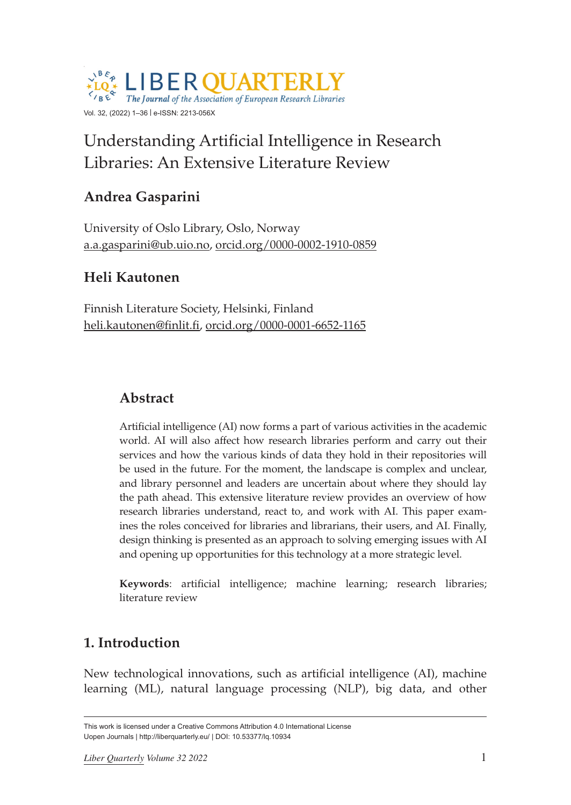

# Understanding Artificial Intelligence in Research Libraries: An Extensive Literature Review

# **Andrea Gasparini**

University of Oslo Library, Oslo, Norway [a.a.gasparini@ub.uio.no,](mailto:a.a.gasparini@ub.uio.no) [orcid.org/0000-0002-1910-0859](https://orcid.org/0000-0002-1910-0859)

### **Heli Kautonen**

Finnish Literature Society, Helsinki, Finland [heli.kautonen@finlit.fi,](mailto:heli.kautonen@finlit.fi) [orcid.org/0000-0001-6652-1165](https://orcid.org/0000-0001-6652-1165)

# **Abstract**

Artificial intelligence (AI) now forms a part of various activities in the academic world. AI will also affect how research libraries perform and carry out their services and how the various kinds of data they hold in their repositories will be used in the future. For the moment, the landscape is complex and unclear, and library personnel and leaders are uncertain about where they should lay the path ahead. This extensive literature review provides an overview of how research libraries understand, react to, and work with AI. This paper examines the roles conceived for libraries and librarians, their users, and AI. Finally, design thinking is presented as an approach to solving emerging issues with AI and opening up opportunities for this technology at a more strategic level.

**Keywords**: artificial intelligence; machine learning; research libraries; literature review

## **1. Introduction**

New technological innovations, such as artificial intelligence (AI), machine learning (ML), natural language processing (NLP), big data, and other

This work is licensed under a Creative Commons Attribution 4.0 International License Uopen Journals | <http://liberquarterly.eu>/ | [DOI: 10.53377/lq.10934](https://doi.org/10.53377/lq.10934)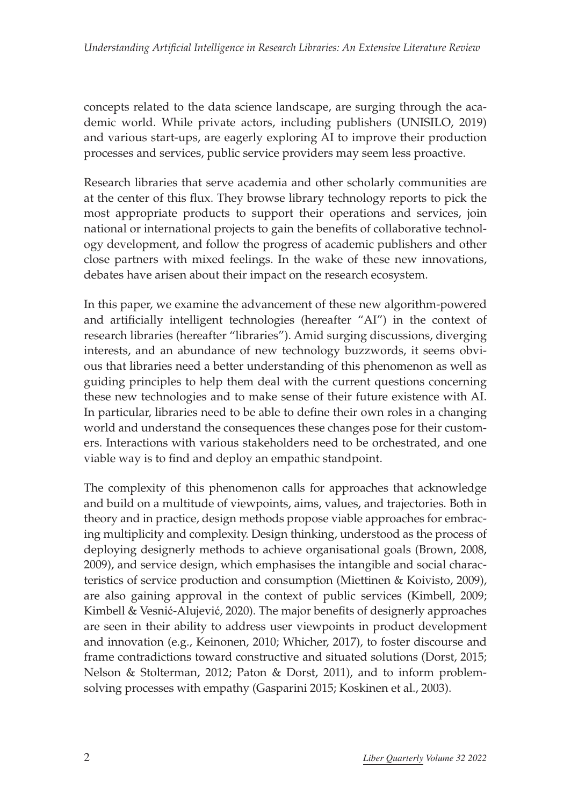concepts related to the data science landscape, are surging through the academic world. While private actors, including publishers (UNISILO, 2019) and various start-ups, are eagerly exploring AI to improve their production processes and services, public service providers may seem less proactive.

Research libraries that serve academia and other scholarly communities are at the center of this flux. They browse library technology reports to pick the most appropriate products to support their operations and services, join national or international projects to gain the benefits of collaborative technology development, and follow the progress of academic publishers and other close partners with mixed feelings. In the wake of these new innovations, debates have arisen about their impact on the research ecosystem.

In this paper, we examine the advancement of these new algorithm-powered and artificially intelligent technologies (hereafter "AI") in the context of research libraries (hereafter "libraries"). Amid surging discussions, diverging interests, and an abundance of new technology buzzwords, it seems obvious that libraries need a better understanding of this phenomenon as well as guiding principles to help them deal with the current questions concerning these new technologies and to make sense of their future existence with AI. In particular, libraries need to be able to define their own roles in a changing world and understand the consequences these changes pose for their customers. Interactions with various stakeholders need to be orchestrated, and one viable way is to find and deploy an empathic standpoint.

The complexity of this phenomenon calls for approaches that acknowledge and build on a multitude of viewpoints, aims, values, and trajectories. Both in theory and in practice, design methods propose viable approaches for embracing multiplicity and complexity. Design thinking, understood as the process of deploying designerly methods to achieve organisational goals (Brown, 2008, 2009), and service design, which emphasises the intangible and social characteristics of service production and consumption (Miettinen & Koivisto, 2009), are also gaining approval in the context of public services (Kimbell, 2009; Kimbell & Vesnić-Alujević, 2020). The major benefits of designerly approaches are seen in their ability to address user viewpoints in product development and innovation (e.g., Keinonen, 2010; Whicher, 2017), to foster discourse and frame contradictions toward constructive and situated solutions (Dorst, 2015; Nelson & Stolterman, 2012; Paton & Dorst, 2011), and to inform problemsolving processes with empathy (Gasparini 2015; Koskinen et al., 2003).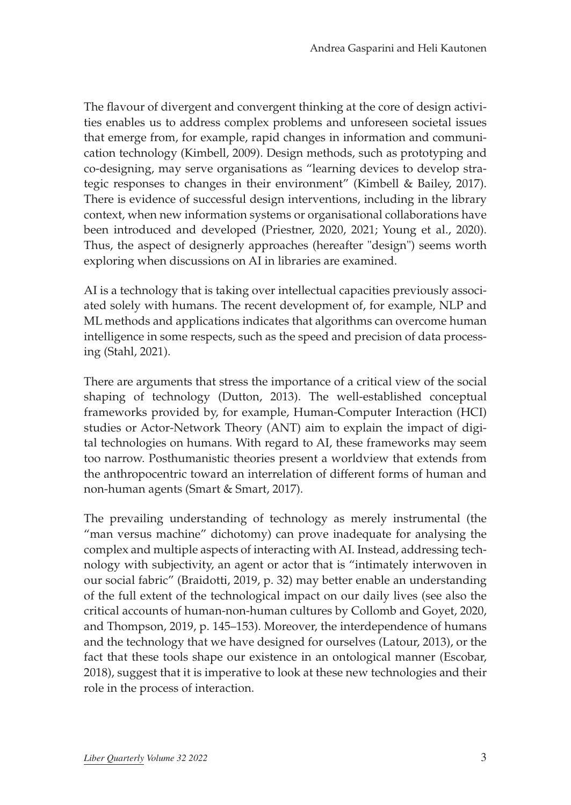The flavour of divergent and convergent thinking at the core of design activities enables us to address complex problems and unforeseen societal issues that emerge from, for example, rapid changes in information and communication technology (Kimbell, 2009). Design methods, such as prototyping and co-designing, may serve organisations as "learning devices to develop strategic responses to changes in their environment" (Kimbell & Bailey, 2017). There is evidence of successful design interventions, including in the library context, when new information systems or organisational collaborations have been introduced and developed (Priestner, 2020, 2021; Young et al., 2020). Thus, the aspect of designerly approaches (hereafter "design") seems worth exploring when discussions on AI in libraries are examined.

AI is a technology that is taking over intellectual capacities previously associated solely with humans. The recent development of, for example, NLP and ML methods and applications indicates that algorithms can overcome human intelligence in some respects, such as the speed and precision of data processing (Stahl, 2021).

There are arguments that stress the importance of a critical view of the social shaping of technology (Dutton, 2013). The well-established conceptual frameworks provided by, for example, Human-Computer Interaction (HCI) studies or Actor-Network Theory (ANT) aim to explain the impact of digital technologies on humans. With regard to AI, these frameworks may seem too narrow. Posthumanistic theories present a worldview that extends from the anthropocentric toward an interrelation of different forms of human and non-human agents (Smart & Smart, 2017).

The prevailing understanding of technology as merely instrumental (the "man versus machine" dichotomy) can prove inadequate for analysing the complex and multiple aspects of interacting with AI. Instead, addressing technology with subjectivity, an agent or actor that is "intimately interwoven in our social fabric" (Braidotti, 2019, p. 32) may better enable an understanding of the full extent of the technological impact on our daily lives (see also the critical accounts of human-non-human cultures by Collomb and Goyet, 2020, and Thompson, 2019, p. 145–153). Moreover, the interdependence of humans and the technology that we have designed for ourselves (Latour, 2013), or the fact that these tools shape our existence in an ontological manner (Escobar, 2018), suggest that it is imperative to look at these new technologies and their role in the process of interaction.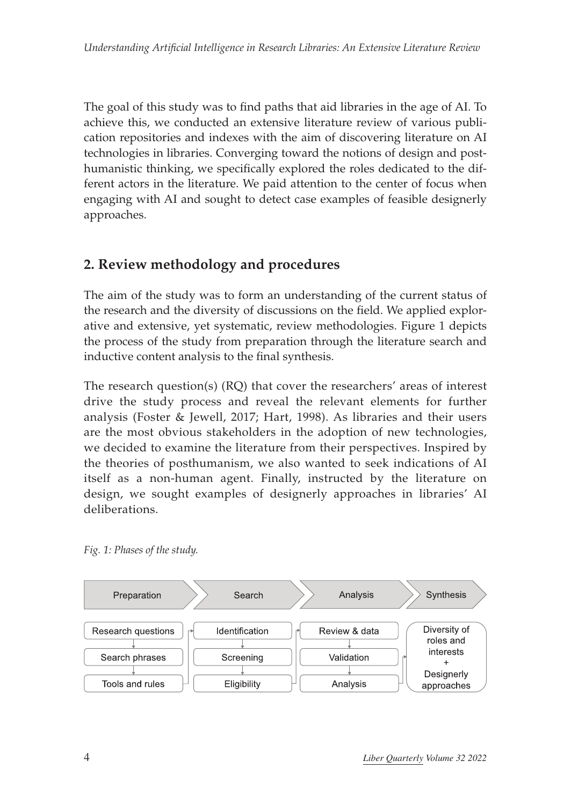The goal of this study was to find paths that aid libraries in the age of AI. To achieve this, we conducted an extensive literature review of various publication repositories and indexes with the aim of discovering literature on AI technologies in libraries. Converging toward the notions of design and posthumanistic thinking, we specifically explored the roles dedicated to the different actors in the literature. We paid attention to the center of focus when engaging with AI and sought to detect case examples of feasible designerly approaches.

# **2. Review methodology and procedures**

The aim of the study was to form an understanding of the current status of the research and the diversity of discussions on the field. We applied explorative and extensive, yet systematic, review methodologies. Figure 1 depicts the process of the study from preparation through the literature search and inductive content analysis to the final synthesis.

The research question(s) (RQ) that cover the researchers' areas of interest drive the study process and reveal the relevant elements for further analysis (Foster & Jewell, 2017; Hart, 1998). As libraries and their users are the most obvious stakeholders in the adoption of new technologies, we decided to examine the literature from their perspectives. Inspired by the theories of posthumanism, we also wanted to seek indications of AI itself as a non-human agent. Finally, instructed by the literature on design, we sought examples of designerly approaches in libraries' AI deliberations.



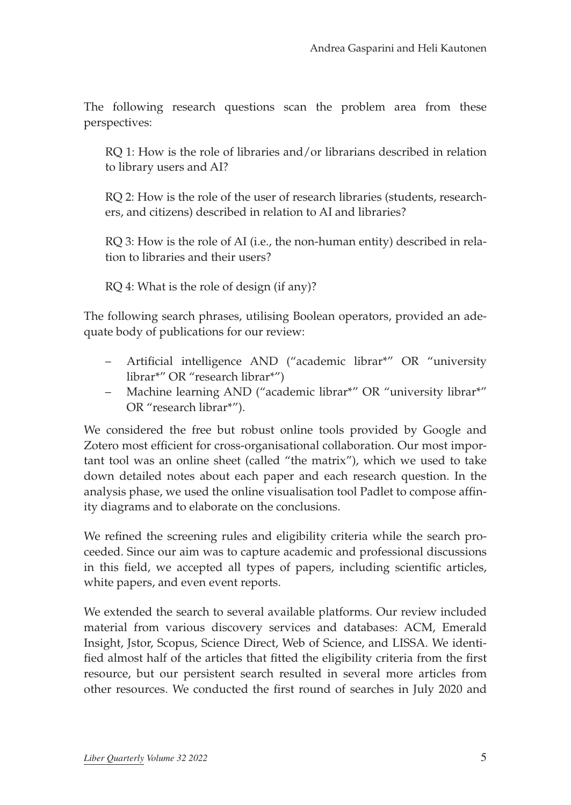The following research questions scan the problem area from these perspectives:

RQ 1: How is the role of libraries and/or librarians described in relation to library users and AI?

RQ 2: How is the role of the user of research libraries (students, researchers, and citizens) described in relation to AI and libraries?

RQ 3: How is the role of AI (i.e., the non-human entity) described in relation to libraries and their users?

RQ 4: What is the role of design (if any)?

The following search phrases, utilising Boolean operators, provided an adequate body of publications for our review:

- Artificial intelligence AND ("academic librar\*" OR "university librar\*" OR "research librar\*")
- Machine learning AND ("academic librar\*" OR "university librar\*" OR "research librar\*").

We considered the free but robust online tools provided by Google and Zotero most efficient for cross-organisational collaboration. Our most important tool was an online sheet (called "the matrix"), which we used to take down detailed notes about each paper and each research question. In the analysis phase, we used the online visualisation tool Padlet to compose affinity diagrams and to elaborate on the conclusions.

We refined the screening rules and eligibility criteria while the search proceeded. Since our aim was to capture academic and professional discussions in this field, we accepted all types of papers, including scientific articles, white papers, and even event reports.

We extended the search to several available platforms. Our review included material from various discovery services and databases: ACM, Emerald Insight, Jstor, Scopus, Science Direct, Web of Science, and LISSA. We identified almost half of the articles that fitted the eligibility criteria from the first resource, but our persistent search resulted in several more articles from other resources. We conducted the first round of searches in July 2020 and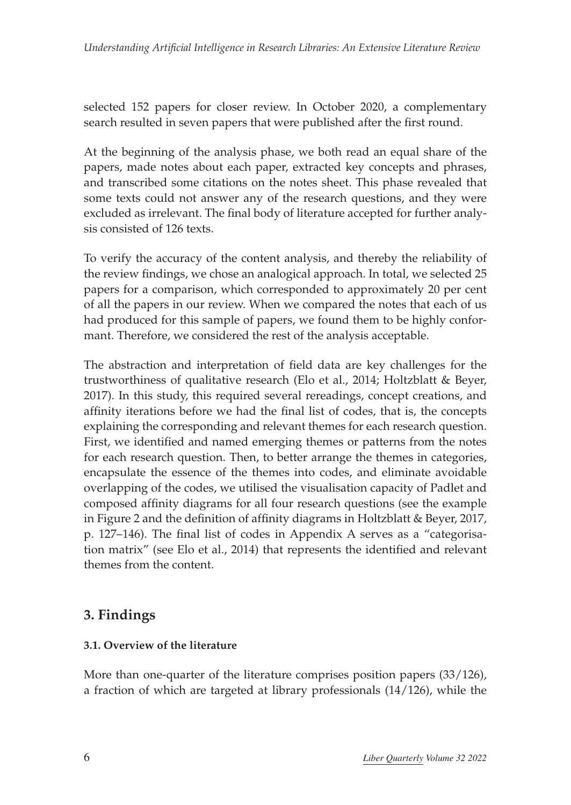selected 152 papers for closer review. In October 2020, a complementary search resulted in seven papers that were published after the first round.

At the beginning of the analysis phase, we both read an equal share of the papers, made notes about each paper, extracted key concepts and phrases, and transcribed some citations on the notes sheet. This phase revealed that some texts could not answer any of the research questions, and they were excluded as irrelevant. The final body of literature accepted for further analysis consisted of 126 texts.

To verify the accuracy of the content analysis, and thereby the reliability of the review findings, we chose an analogical approach. In total, we selected 25 papers for a comparison, which corresponded to approximately 20 per cent of all the papers in our review. When we compared the notes that each of us had produced for this sample of papers, we found them to be highly conformant. Therefore, we considered the rest of the analysis acceptable.

The abstraction and interpretation of field data are key challenges for the trustworthiness of qualitative research (Elo et al., 2014; Holtzblatt & Beyer, 2017). In this study, this required several rereadings, concept creations, and affinity iterations before we had the final list of codes, that is, the concepts explaining the corresponding and relevant themes for each research question. First, we identified and named emerging themes or patterns from the notes for each research question. Then, to better arrange the themes in categories, encapsulate the essence of the themes into codes, and eliminate avoidable overlapping of the codes, we utilised the visualisation capacity of Padlet and composed affinity diagrams for all four research questions (see the example in Figure 2 and the definition of affinity diagrams in Holtzblatt & Beyer, 2017, p. 127–146). The final list of codes in Appendix A serves as a "categorisation matrix" (see Elo et al., 2014) that represents the identified and relevant themes from the content.

### **3. Findings**

#### **3.1. Overview of the literature**

More than one-quarter of the literature comprises position papers (33/126), a fraction of which are targeted at library professionals (14/126), while the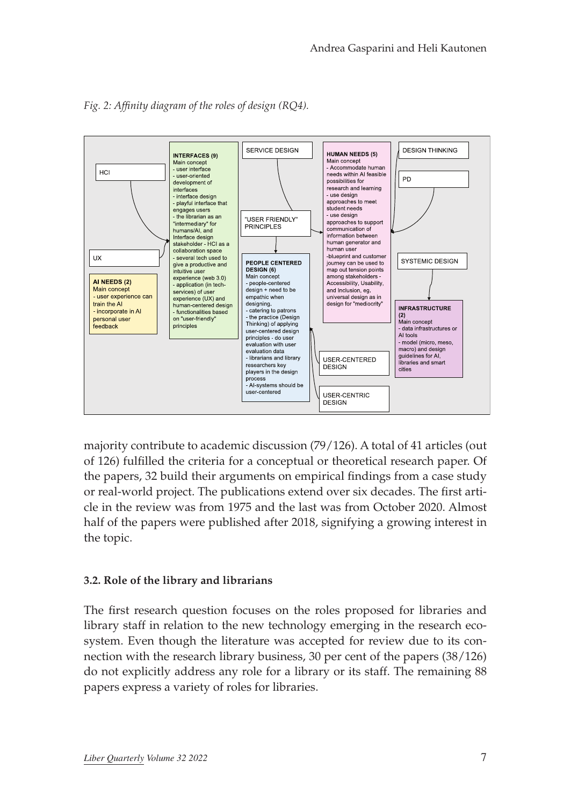



majority contribute to academic discussion (79/126). A total of 41 articles (out of 126) fulfilled the criteria for a conceptual or theoretical research paper. Of the papers, 32 build their arguments on empirical findings from a case study or real-world project. The publications extend over six decades. The first article in the review was from 1975 and the last was from October 2020. Almost half of the papers were published after 2018, signifying a growing interest in the topic.

#### **3.2. Role of the library and librarians**

The first research question focuses on the roles proposed for libraries and library staff in relation to the new technology emerging in the research ecosystem. Even though the literature was accepted for review due to its connection with the research library business, 30 per cent of the papers (38/126) do not explicitly address any role for a library or its staff. The remaining 88 papers express a variety of roles for libraries.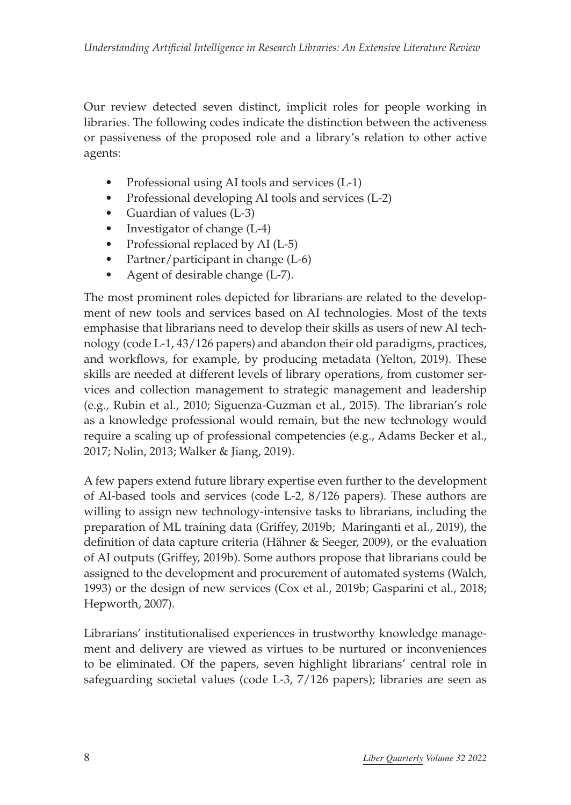Our review detected seven distinct, implicit roles for people working in libraries. The following codes indicate the distinction between the activeness or passiveness of the proposed role and a library's relation to other active agents:

- Professional using AI tools and services (L-1)
- Professional developing AI tools and services (L-2)
- Guardian of values (L-3)
- Investigator of change  $(L-4)$
- Professional replaced by AI (L-5)
- Partner/participant in change (L-6)
- Agent of desirable change (L-7).

The most prominent roles depicted for librarians are related to the development of new tools and services based on AI technologies. Most of the texts emphasise that librarians need to develop their skills as users of new AI technology (code L-1, 43/126 papers) and abandon their old paradigms, practices, and workflows, for example, by producing metadata (Yelton, 2019). These skills are needed at different levels of library operations, from customer services and collection management to strategic management and leadership (e.g., Rubin et al., 2010; Siguenza-Guzman et al., 2015). The librarian's role as a knowledge professional would remain, but the new technology would require a scaling up of professional competencies (e.g., Adams Becker et al., 2017; Nolin, 2013; Walker & Jiang, 2019).

A few papers extend future library expertise even further to the development of AI-based tools and services (code L-2, 8/126 papers). These authors are willing to assign new technology-intensive tasks to librarians, including the preparation of ML training data (Griffey, 2019b; Maringanti et al., 2019), the definition of data capture criteria (Hähner & Seeger, 2009), or the evaluation of AI outputs (Griffey, 2019b). Some authors propose that librarians could be assigned to the development and procurement of automated systems (Walch, 1993) or the design of new services (Cox et al., 2019b; Gasparini et al., 2018; Hepworth, 2007).

Librarians' institutionalised experiences in trustworthy knowledge management and delivery are viewed as virtues to be nurtured or inconveniences to be eliminated. Of the papers, seven highlight librarians' central role in safeguarding societal values (code L-3, 7/126 papers); libraries are seen as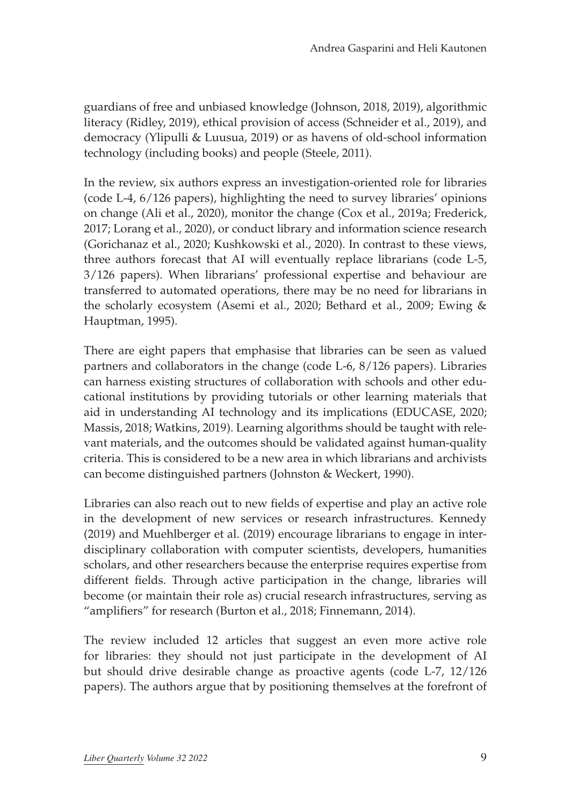guardians of free and unbiased knowledge (Johnson, 2018, 2019), algorithmic literacy (Ridley, 2019), ethical provision of access (Schneider et al., 2019), and democracy (Ylipulli & Luusua, 2019) or as havens of old-school information technology (including books) and people (Steele, 2011).

In the review, six authors express an investigation-oriented role for libraries (code L-4, 6/126 papers), highlighting the need to survey libraries' opinions on change (Ali et al., 2020), monitor the change (Cox et al., 2019a; Frederick, 2017; Lorang et al., 2020), or conduct library and information science research (Gorichanaz et al., 2020; Kushkowski et al., 2020). In contrast to these views, three authors forecast that AI will eventually replace librarians (code L-5, 3/126 papers). When librarians' professional expertise and behaviour are transferred to automated operations, there may be no need for librarians in the scholarly ecosystem (Asemi et al., 2020; Bethard et al., 2009; Ewing & Hauptman, 1995).

There are eight papers that emphasise that libraries can be seen as valued partners and collaborators in the change (code L-6, 8/126 papers). Libraries can harness existing structures of collaboration with schools and other educational institutions by providing tutorials or other learning materials that aid in understanding AI technology and its implications (EDUCASE, 2020; Massis, 2018; Watkins, 2019). Learning algorithms should be taught with relevant materials, and the outcomes should be validated against human-quality criteria. This is considered to be a new area in which librarians and archivists can become distinguished partners (Johnston & Weckert, 1990).

Libraries can also reach out to new fields of expertise and play an active role in the development of new services or research infrastructures. Kennedy (2019) and Muehlberger et al. (2019) encourage librarians to engage in interdisciplinary collaboration with computer scientists, developers, humanities scholars, and other researchers because the enterprise requires expertise from different fields. Through active participation in the change, libraries will become (or maintain their role as) crucial research infrastructures, serving as "amplifiers" for research (Burton et al., 2018; Finnemann, 2014).

The review included 12 articles that suggest an even more active role for libraries: they should not just participate in the development of AI but should drive desirable change as proactive agents (code L-7, 12/126 papers). The authors argue that by positioning themselves at the forefront of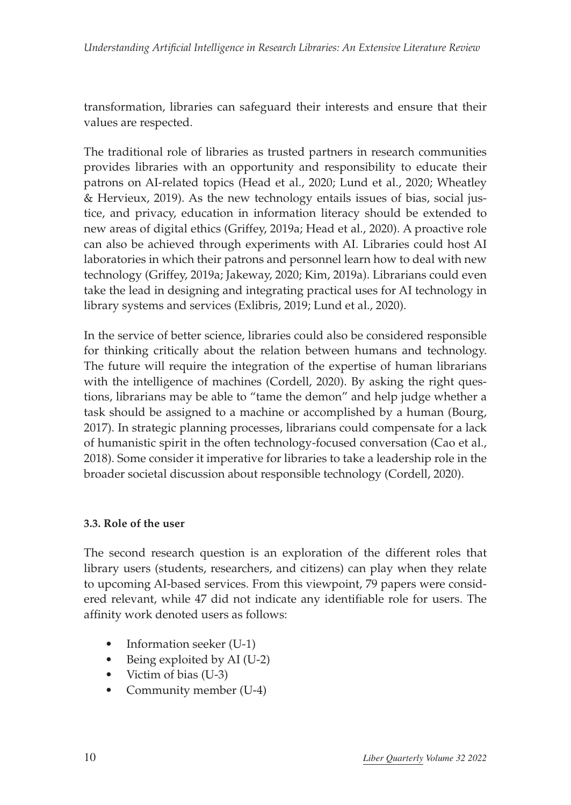transformation, libraries can safeguard their interests and ensure that their values are respected.

The traditional role of libraries as trusted partners in research communities provides libraries with an opportunity and responsibility to educate their patrons on AI-related topics (Head et al., 2020; Lund et al., 2020; Wheatley & Hervieux, 2019). As the new technology entails issues of bias, social justice, and privacy, education in information literacy should be extended to new areas of digital ethics (Griffey, 2019a; Head et al., 2020). A proactive role can also be achieved through experiments with AI. Libraries could host AI laboratories in which their patrons and personnel learn how to deal with new technology (Griffey, 2019a; Jakeway, 2020; Kim, 2019a). Librarians could even take the lead in designing and integrating practical uses for AI technology in library systems and services (Exlibris, 2019; Lund et al., 2020).

In the service of better science, libraries could also be considered responsible for thinking critically about the relation between humans and technology. The future will require the integration of the expertise of human librarians with the intelligence of machines (Cordell, 2020). By asking the right questions, librarians may be able to "tame the demon" and help judge whether a task should be assigned to a machine or accomplished by a human (Bourg, 2017). In strategic planning processes, librarians could compensate for a lack of humanistic spirit in the often technology-focused conversation (Cao et al., 2018). Some consider it imperative for libraries to take a leadership role in the broader societal discussion about responsible technology (Cordell, 2020).

#### **3.3. Role of the user**

The second research question is an exploration of the different roles that library users (students, researchers, and citizens) can play when they relate to upcoming AI-based services. From this viewpoint, 79 papers were considered relevant, while 47 did not indicate any identifiable role for users. The affinity work denoted users as follows:

- Information seeker  $(U-1)$
- Being exploited by AI (U-2)
- Victim of bias (U-3)
- Community member (U-4)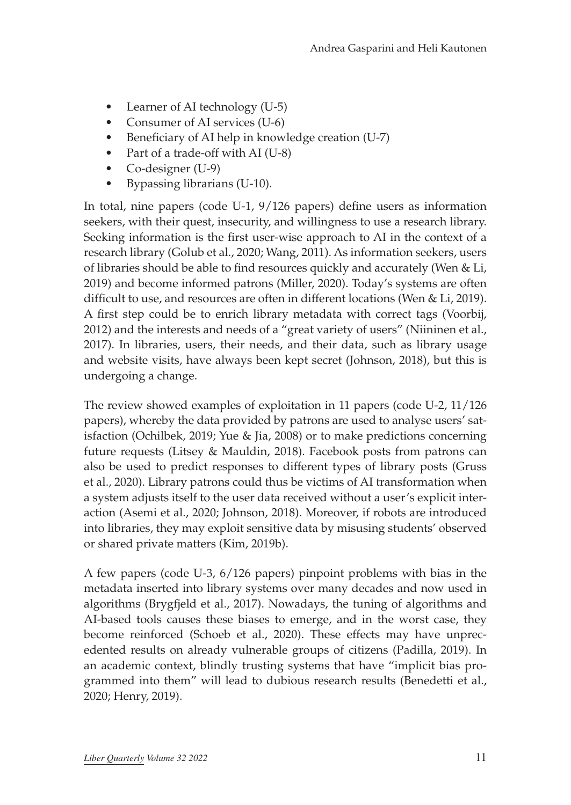- Learner of AI technology (U-5)
- Consumer of AI services (U-6)
- Beneficiary of AI help in knowledge creation (U-7)
- Part of a trade-off with AI (U-8)
- Co-designer (U-9)
- • Bypassing librarians (U-10).

In total, nine papers (code U-1, 9/126 papers) define users as information seekers, with their quest, insecurity, and willingness to use a research library. Seeking information is the first user-wise approach to AI in the context of a research library (Golub et al., 2020; Wang, 2011). As information seekers, users of libraries should be able to find resources quickly and accurately (Wen & Li, 2019) and become informed patrons (Miller, 2020). Today's systems are often difficult to use, and resources are often in different locations (Wen & Li, 2019). A first step could be to enrich library metadata with correct tags (Voorbij, 2012) and the interests and needs of a "great variety of users" (Niininen et al., 2017). In libraries, users, their needs, and their data, such as library usage and website visits, have always been kept secret (Johnson, 2018), but this is undergoing a change.

The review showed examples of exploitation in 11 papers (code U-2, 11/126 papers), whereby the data provided by patrons are used to analyse users' satisfaction (Ochilbek, 2019; Yue & Jia, 2008) or to make predictions concerning future requests (Litsey & Mauldin, 2018). Facebook posts from patrons can also be used to predict responses to different types of library posts (Gruss et al., 2020). Library patrons could thus be victims of AI transformation when a system adjusts itself to the user data received without a user's explicit interaction (Asemi et al., 2020; Johnson, 2018). Moreover, if robots are introduced into libraries, they may exploit sensitive data by misusing students' observed or shared private matters (Kim, 2019b).

A few papers (code U-3, 6/126 papers) pinpoint problems with bias in the metadata inserted into library systems over many decades and now used in algorithms (Brygfjeld et al., 2017). Nowadays, the tuning of algorithms and AI-based tools causes these biases to emerge, and in the worst case, they become reinforced (Schoeb et al., 2020). These effects may have unprecedented results on already vulnerable groups of citizens (Padilla, 2019). In an academic context, blindly trusting systems that have "implicit bias programmed into them" will lead to dubious research results (Benedetti et al., 2020; Henry, 2019).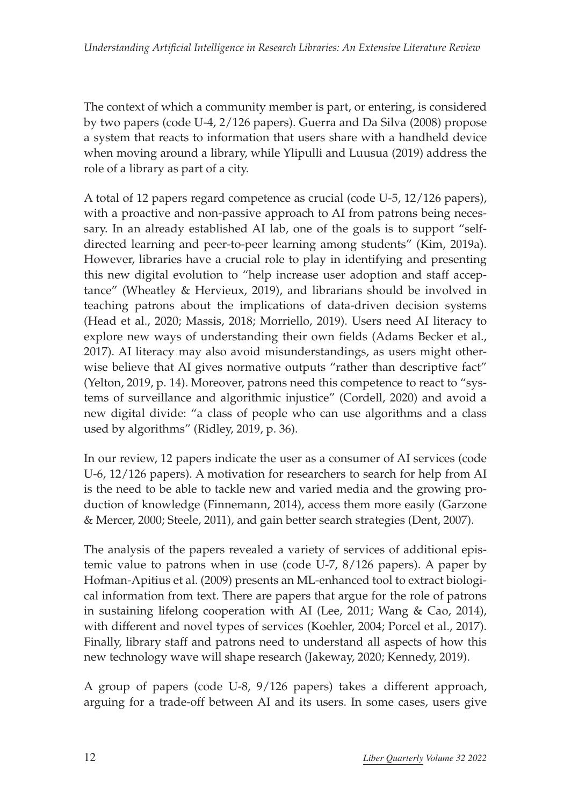The context of which a community member is part, or entering, is considered by two papers (code U-4, 2/126 papers). Guerra and Da Silva (2008) propose a system that reacts to information that users share with a handheld device when moving around a library, while Ylipulli and Luusua (2019) address the role of a library as part of a city.

A total of 12 papers regard competence as crucial (code U-5, 12/126 papers), with a proactive and non-passive approach to AI from patrons being necessary. In an already established AI lab, one of the goals is to support "selfdirected learning and peer-to-peer learning among students" (Kim, 2019a). However, libraries have a crucial role to play in identifying and presenting this new digital evolution to "help increase user adoption and staff acceptance" (Wheatley & Hervieux, 2019), and librarians should be involved in teaching patrons about the implications of data-driven decision systems (Head et al., 2020; Massis, 2018; Morriello, 2019). Users need AI literacy to explore new ways of understanding their own fields (Adams Becker et al., 2017). AI literacy may also avoid misunderstandings, as users might otherwise believe that AI gives normative outputs "rather than descriptive fact" (Yelton, 2019, p. 14). Moreover, patrons need this competence to react to "systems of surveillance and algorithmic injustice" (Cordell, 2020) and avoid a new digital divide: "a class of people who can use algorithms and a class used by algorithms" (Ridley, 2019, p. 36).

In our review, 12 papers indicate the user as a consumer of AI services (code U-6, 12/126 papers). A motivation for researchers to search for help from AI is the need to be able to tackle new and varied media and the growing production of knowledge (Finnemann, 2014), access them more easily (Garzone & Mercer, 2000; Steele, 2011), and gain better search strategies (Dent, 2007).

The analysis of the papers revealed a variety of services of additional epistemic value to patrons when in use (code U-7, 8/126 papers). A paper by Hofman-Apitius et al. (2009) presents an ML-enhanced tool to extract biological information from text. There are papers that argue for the role of patrons in sustaining lifelong cooperation with AI (Lee, 2011; Wang & Cao, 2014), with different and novel types of services (Koehler, 2004; Porcel et al., 2017). Finally, library staff and patrons need to understand all aspects of how this new technology wave will shape research (Jakeway, 2020; Kennedy, 2019).

A group of papers (code U-8, 9/126 papers) takes a different approach, arguing for a trade-off between AI and its users. In some cases, users give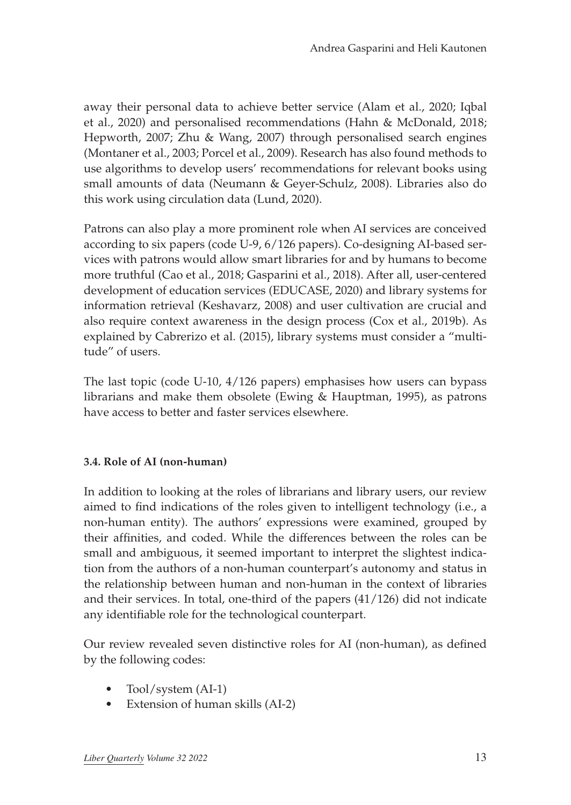away their personal data to achieve better service (Alam et al., 2020; Iqbal et al., 2020) and personalised recommendations (Hahn & McDonald, 2018; Hepworth, 2007; Zhu & Wang, 2007) through personalised search engines (Montaner et al., 2003; Porcel et al., 2009). Research has also found methods to use algorithms to develop users' recommendations for relevant books using small amounts of data (Neumann & Geyer-Schulz, 2008). Libraries also do this work using circulation data (Lund, 2020).

Patrons can also play a more prominent role when AI services are conceived according to six papers (code U-9, 6/126 papers). Co-designing AI-based services with patrons would allow smart libraries for and by humans to become more truthful (Cao et al., 2018; Gasparini et al., 2018). After all, user-centered development of education services (EDUCASE, 2020) and library systems for information retrieval (Keshavarz, 2008) and user cultivation are crucial and also require context awareness in the design process (Cox et al., 2019b). As explained by Cabrerizo et al. (2015), library systems must consider a "multitude" of users.

The last topic (code U-10, 4/126 papers) emphasises how users can bypass librarians and make them obsolete (Ewing & Hauptman, 1995), as patrons have access to better and faster services elsewhere.

#### **3.4. Role of AI (non-human)**

In addition to looking at the roles of librarians and library users, our review aimed to find indications of the roles given to intelligent technology (i.e., a non-human entity). The authors' expressions were examined, grouped by their affinities, and coded. While the differences between the roles can be small and ambiguous, it seemed important to interpret the slightest indication from the authors of a non-human counterpart's autonomy and status in the relationship between human and non-human in the context of libraries and their services. In total, one-third of the papers (41/126) did not indicate any identifiable role for the technological counterpart.

Our review revealed seven distinctive roles for AI (non-human), as defined by the following codes:

- Tool/system (AI-1)
- Extension of human skills (AI-2)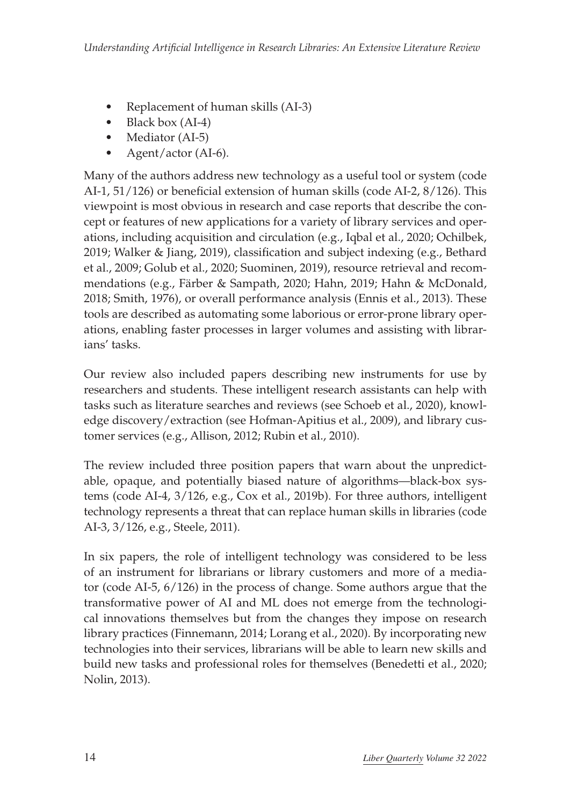- Replacement of human skills (AI-3)
- Black box (AI-4)
- Mediator (AI-5)
- Agent/actor (AI-6).

Many of the authors address new technology as a useful tool or system (code AI-1, 51/126) or beneficial extension of human skills (code AI-2, 8/126). This viewpoint is most obvious in research and case reports that describe the concept or features of new applications for a variety of library services and operations, including acquisition and circulation (e.g., Iqbal et al., 2020; Ochilbek, 2019; Walker & Jiang, 2019), classification and subject indexing (e.g., Bethard et al., 2009; Golub et al., 2020; Suominen, 2019), resource retrieval and recommendations (e.g., Färber & Sampath, 2020; Hahn, 2019; Hahn & McDonald, 2018; Smith, 1976), or overall performance analysis (Ennis et al., 2013). These tools are described as automating some laborious or error-prone library operations, enabling faster processes in larger volumes and assisting with librarians' tasks.

Our review also included papers describing new instruments for use by researchers and students. These intelligent research assistants can help with tasks such as literature searches and reviews (see Schoeb et al., 2020), knowledge discovery/extraction (see Hofman-Apitius et al., 2009), and library customer services (e.g., Allison, 2012; Rubin et al., 2010).

The review included three position papers that warn about the unpredictable, opaque, and potentially biased nature of algorithms—black-box systems (code AI-4, 3/126, e.g., Cox et al., 2019b). For three authors, intelligent technology represents a threat that can replace human skills in libraries (code AI-3, 3/126, e.g., Steele, 2011).

In six papers, the role of intelligent technology was considered to be less of an instrument for librarians or library customers and more of a mediator (code AI-5, 6/126) in the process of change. Some authors argue that the transformative power of AI and ML does not emerge from the technological innovations themselves but from the changes they impose on research library practices (Finnemann, 2014; Lorang et al., 2020). By incorporating new technologies into their services, librarians will be able to learn new skills and build new tasks and professional roles for themselves (Benedetti et al., 2020; Nolin, 2013).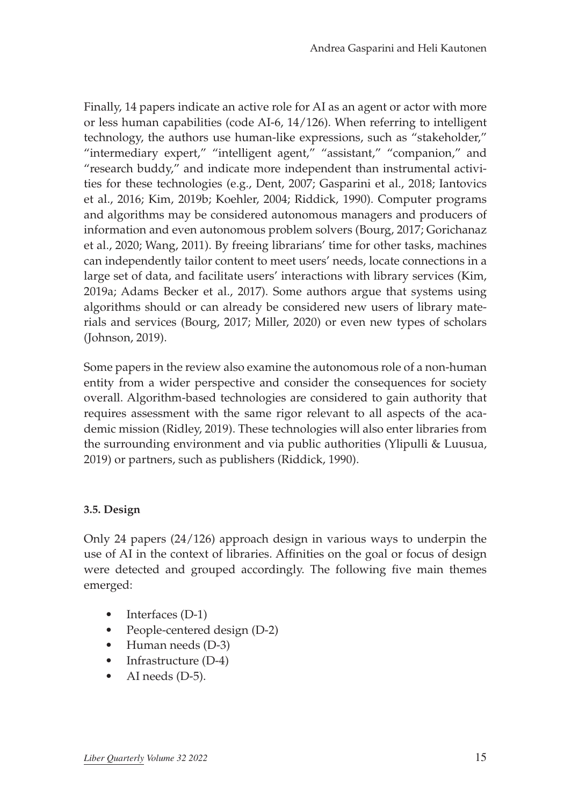Finally, 14 papers indicate an active role for AI as an agent or actor with more or less human capabilities (code AI-6, 14/126). When referring to intelligent technology, the authors use human-like expressions, such as "stakeholder," "intermediary expert," "intelligent agent," "assistant," "companion," and "research buddy," and indicate more independent than instrumental activities for these technologies (e.g., Dent, 2007; Gasparini et al., 2018; Iantovics et al., 2016; Kim, 2019b; Koehler, 2004; Riddick, 1990). Computer programs and algorithms may be considered autonomous managers and producers of information and even autonomous problem solvers (Bourg, 2017; Gorichanaz et al., 2020; Wang, 2011). By freeing librarians' time for other tasks, machines can independently tailor content to meet users' needs, locate connections in a large set of data, and facilitate users' interactions with library services (Kim, 2019a; Adams Becker et al., 2017). Some authors argue that systems using algorithms should or can already be considered new users of library materials and services (Bourg, 2017; Miller, 2020) or even new types of scholars (Johnson, 2019).

Some papers in the review also examine the autonomous role of a non-human entity from a wider perspective and consider the consequences for society overall. Algorithm-based technologies are considered to gain authority that requires assessment with the same rigor relevant to all aspects of the academic mission (Ridley, 2019). These technologies will also enter libraries from the surrounding environment and via public authorities (Ylipulli & Luusua, 2019) or partners, such as publishers (Riddick, 1990).

#### **3.5. Design**

Only 24 papers (24/126) approach design in various ways to underpin the use of AI in the context of libraries. Affinities on the goal or focus of design were detected and grouped accordingly. The following five main themes emerged:

- Interfaces (D-1)
- People-centered design (D-2)
- Human needs (D-3)
- Infrastructure (D-4)
- AI needs (D-5).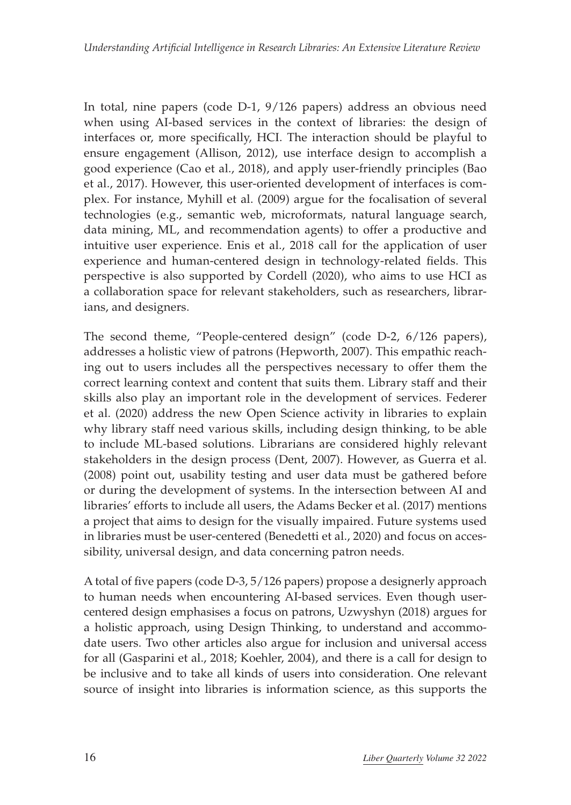In total, nine papers (code D-1, 9/126 papers) address an obvious need when using AI-based services in the context of libraries: the design of interfaces or, more specifically, HCI. The interaction should be playful to ensure engagement (Allison, 2012), use interface design to accomplish a good experience (Cao et al., 2018), and apply user-friendly principles (Bao et al., 2017). However, this user-oriented development of interfaces is complex. For instance, Myhill et al. (2009) argue for the focalisation of several technologies (e.g., semantic web, microformats, natural language search, data mining, ML, and recommendation agents) to offer a productive and intuitive user experience. Enis et al., 2018 call for the application of user experience and human-centered design in technology-related fields. This perspective is also supported by Cordell (2020), who aims to use HCI as a collaboration space for relevant stakeholders, such as researchers, librarians, and designers.

The second theme, "People-centered design" (code D-2, 6/126 papers), addresses a holistic view of patrons (Hepworth, 2007). This empathic reaching out to users includes all the perspectives necessary to offer them the correct learning context and content that suits them. Library staff and their skills also play an important role in the development of services. Federer et al. (2020) address the new Open Science activity in libraries to explain why library staff need various skills, including design thinking, to be able to include ML-based solutions. Librarians are considered highly relevant stakeholders in the design process (Dent, 2007). However, as Guerra et al. (2008) point out, usability testing and user data must be gathered before or during the development of systems. In the intersection between AI and libraries' efforts to include all users, the Adams Becker et al. (2017) mentions a project that aims to design for the visually impaired. Future systems used in libraries must be user-centered (Benedetti et al., 2020) and focus on accessibility, universal design, and data concerning patron needs.

A total of five papers (code D-3, 5/126 papers) propose a designerly approach to human needs when encountering AI-based services. Even though usercentered design emphasises a focus on patrons, Uzwyshyn (2018) argues for a holistic approach, using Design Thinking, to understand and accommodate users. Two other articles also argue for inclusion and universal access for all (Gasparini et al., 2018; Koehler, 2004), and there is a call for design to be inclusive and to take all kinds of users into consideration. One relevant source of insight into libraries is information science, as this supports the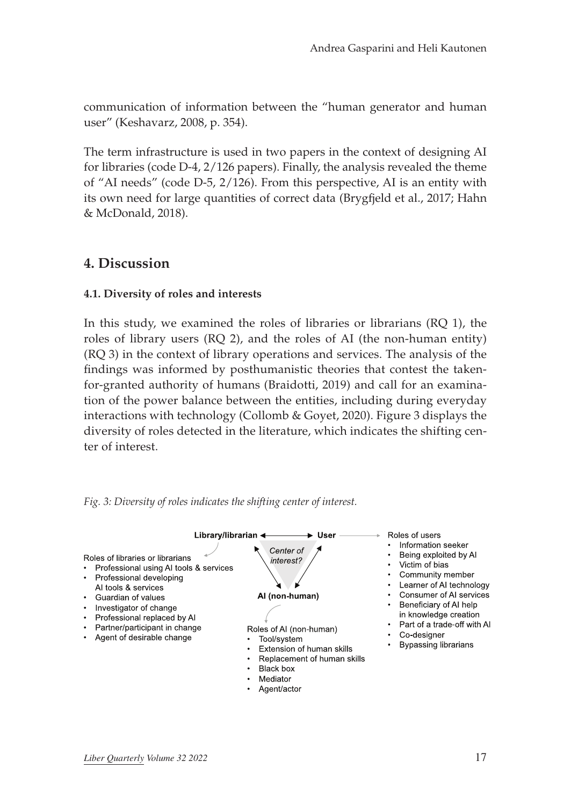communication of information between the "human generator and human user" (Keshavarz, 2008, p. 354).

The term infrastructure is used in two papers in the context of designing AI for libraries (code D-4, 2/126 papers). Finally, the analysis revealed the theme of "AI needs" (code D-5, 2/126). From this perspective, AI is an entity with its own need for large quantities of correct data (Brygfjeld et al., 2017; Hahn & McDonald, 2018).

### **4. Discussion**

#### **4.1. Diversity of roles and interests**

In this study, we examined the roles of libraries or librarians (RQ 1), the roles of library users (RQ 2), and the roles of AI (the non-human entity) (RQ 3) in the context of library operations and services. The analysis of the findings was informed by posthumanistic theories that contest the takenfor-granted authority of humans (Braidotti, 2019) and call for an examination of the power balance between the entities, including during everyday interactions with technology (Collomb & Goyet, 2020). Figure 3 displays the diversity of roles detected in the literature, which indicates the shifting center of interest.



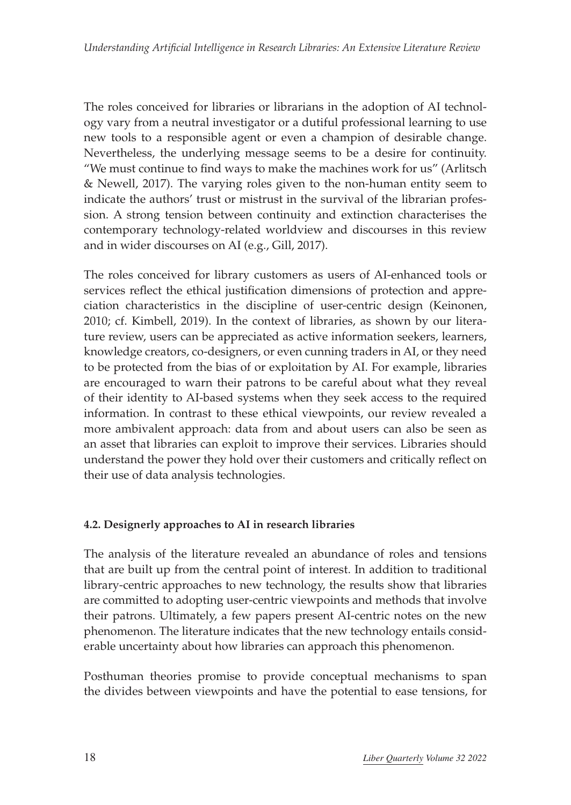The roles conceived for libraries or librarians in the adoption of AI technology vary from a neutral investigator or a dutiful professional learning to use new tools to a responsible agent or even a champion of desirable change. Nevertheless, the underlying message seems to be a desire for continuity. "We must continue to find ways to make the machines work for us" (Arlitsch & Newell, 2017). The varying roles given to the non-human entity seem to indicate the authors' trust or mistrust in the survival of the librarian profession. A strong tension between continuity and extinction characterises the contemporary technology-related worldview and discourses in this review and in wider discourses on AI (e.g., Gill, 2017).

The roles conceived for library customers as users of AI-enhanced tools or services reflect the ethical justification dimensions of protection and appreciation characteristics in the discipline of user-centric design (Keinonen, 2010; cf. Kimbell, 2019). In the context of libraries, as shown by our literature review, users can be appreciated as active information seekers, learners, knowledge creators, co-designers, or even cunning traders in AI, or they need to be protected from the bias of or exploitation by AI. For example, libraries are encouraged to warn their patrons to be careful about what they reveal of their identity to AI-based systems when they seek access to the required information. In contrast to these ethical viewpoints, our review revealed a more ambivalent approach: data from and about users can also be seen as an asset that libraries can exploit to improve their services. Libraries should understand the power they hold over their customers and critically reflect on their use of data analysis technologies.

#### **4.2. Designerly approaches to AI in research libraries**

The analysis of the literature revealed an abundance of roles and tensions that are built up from the central point of interest. In addition to traditional library-centric approaches to new technology, the results show that libraries are committed to adopting user-centric viewpoints and methods that involve their patrons. Ultimately, a few papers present AI-centric notes on the new phenomenon. The literature indicates that the new technology entails considerable uncertainty about how libraries can approach this phenomenon.

Posthuman theories promise to provide conceptual mechanisms to span the divides between viewpoints and have the potential to ease tensions, for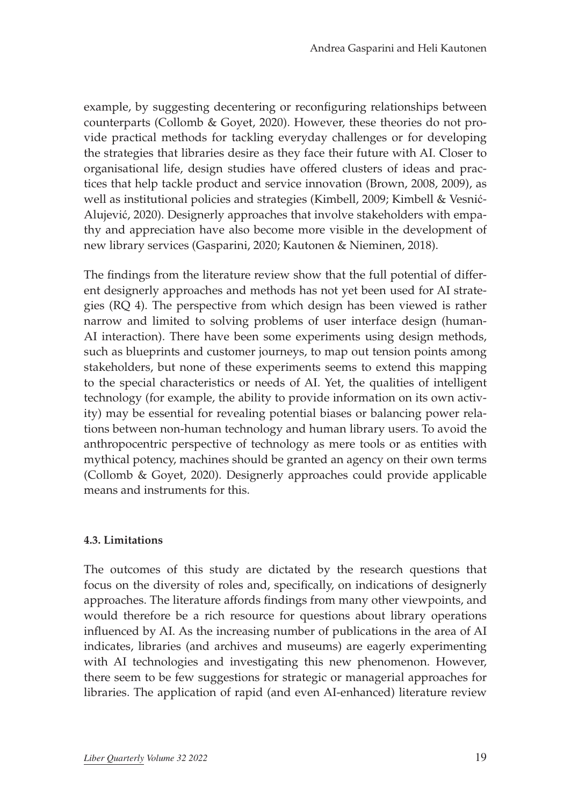example, by suggesting decentering or reconfiguring relationships between counterparts (Collomb & Goyet, 2020). However, these theories do not provide practical methods for tackling everyday challenges or for developing the strategies that libraries desire as they face their future with AI. Closer to organisational life, design studies have offered clusters of ideas and practices that help tackle product and service innovation (Brown, 2008, 2009), as well as institutional policies and strategies (Kimbell, 2009; Kimbell & Vesnić-Alujević, 2020). Designerly approaches that involve stakeholders with empathy and appreciation have also become more visible in the development of new library services (Gasparini, 2020; Kautonen & Nieminen, 2018).

The findings from the literature review show that the full potential of different designerly approaches and methods has not yet been used for AI strategies (RQ 4). The perspective from which design has been viewed is rather narrow and limited to solving problems of user interface design (human-AI interaction). There have been some experiments using design methods, such as blueprints and customer journeys, to map out tension points among stakeholders, but none of these experiments seems to extend this mapping to the special characteristics or needs of AI. Yet, the qualities of intelligent technology (for example, the ability to provide information on its own activity) may be essential for revealing potential biases or balancing power relations between non-human technology and human library users. To avoid the anthropocentric perspective of technology as mere tools or as entities with mythical potency, machines should be granted an agency on their own terms (Collomb & Goyet, 2020). Designerly approaches could provide applicable means and instruments for this.

#### **4.3. Limitations**

The outcomes of this study are dictated by the research questions that focus on the diversity of roles and, specifically, on indications of designerly approaches. The literature affords findings from many other viewpoints, and would therefore be a rich resource for questions about library operations influenced by AI. As the increasing number of publications in the area of AI indicates, libraries (and archives and museums) are eagerly experimenting with AI technologies and investigating this new phenomenon. However, there seem to be few suggestions for strategic or managerial approaches for libraries. The application of rapid (and even AI-enhanced) literature review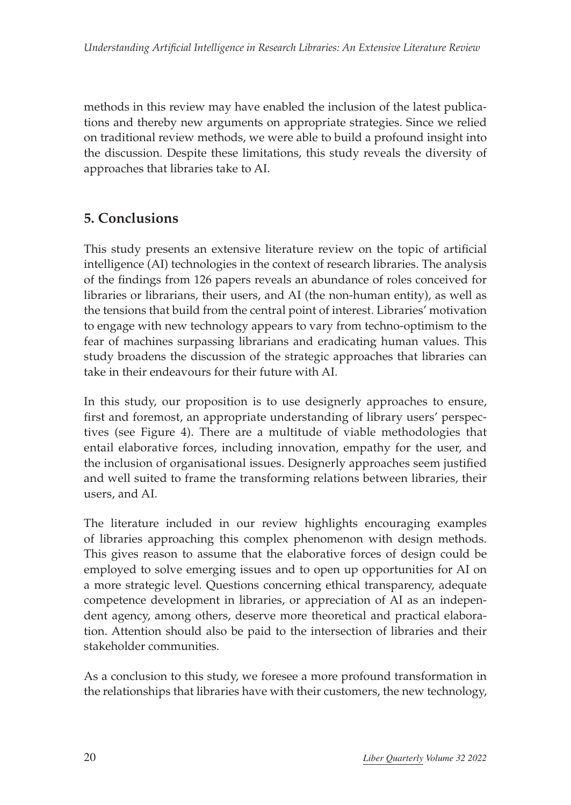methods in this review may have enabled the inclusion of the latest publications and thereby new arguments on appropriate strategies. Since we relied on traditional review methods, we were able to build a profound insight into the discussion. Despite these limitations, this study reveals the diversity of approaches that libraries take to AI.

# **5. Conclusions**

This study presents an extensive literature review on the topic of artificial intelligence (AI) technologies in the context of research libraries. The analysis of the findings from 126 papers reveals an abundance of roles conceived for libraries or librarians, their users, and AI (the non-human entity), as well as the tensions that build from the central point of interest. Libraries' motivation to engage with new technology appears to vary from techno-optimism to the fear of machines surpassing librarians and eradicating human values. This study broadens the discussion of the strategic approaches that libraries can take in their endeavours for their future with AI.

In this study, our proposition is to use designerly approaches to ensure, first and foremost, an appropriate understanding of library users' perspectives (see Figure 4). There are a multitude of viable methodologies that entail elaborative forces, including innovation, empathy for the user, and the inclusion of organisational issues. Designerly approaches seem justified and well suited to frame the transforming relations between libraries, their users, and AI.

The literature included in our review highlights encouraging examples of libraries approaching this complex phenomenon with design methods. This gives reason to assume that the elaborative forces of design could be employed to solve emerging issues and to open up opportunities for AI on a more strategic level. Questions concerning ethical transparency, adequate competence development in libraries, or appreciation of AI as an independent agency, among others, deserve more theoretical and practical elaboration. Attention should also be paid to the intersection of libraries and their stakeholder communities.

As a conclusion to this study, we foresee a more profound transformation in the relationships that libraries have with their customers, the new technology,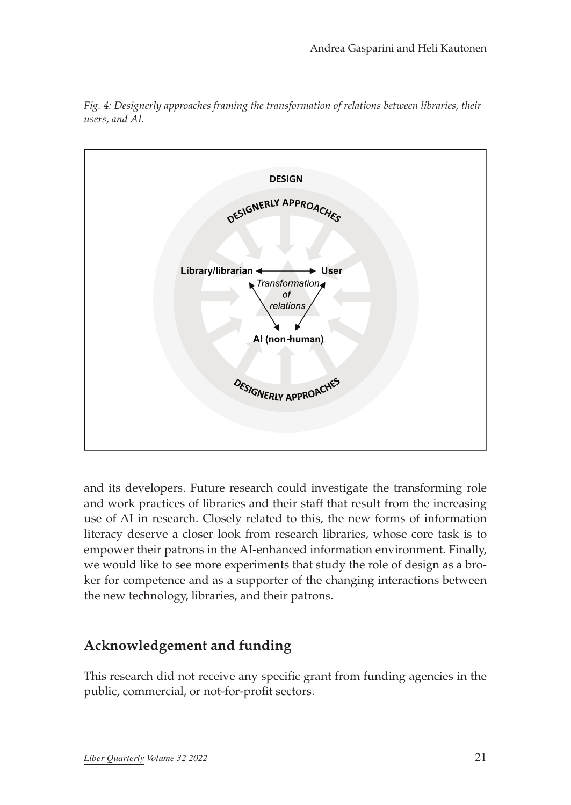

*Fig. 4: Designerly approaches framing the transformation of relations between libraries, their users, and AI.*

and its developers. Future research could investigate the transforming role and work practices of libraries and their staff that result from the increasing use of AI in research. Closely related to this, the new forms of information literacy deserve a closer look from research libraries, whose core task is to empower their patrons in the AI-enhanced information environment. Finally, we would like to see more experiments that study the role of design as a broker for competence and as a supporter of the changing interactions between the new technology, libraries, and their patrons.

# **Acknowledgement and funding**

This research did not receive any specific grant from funding agencies in the public, commercial, or not-for-profit sectors.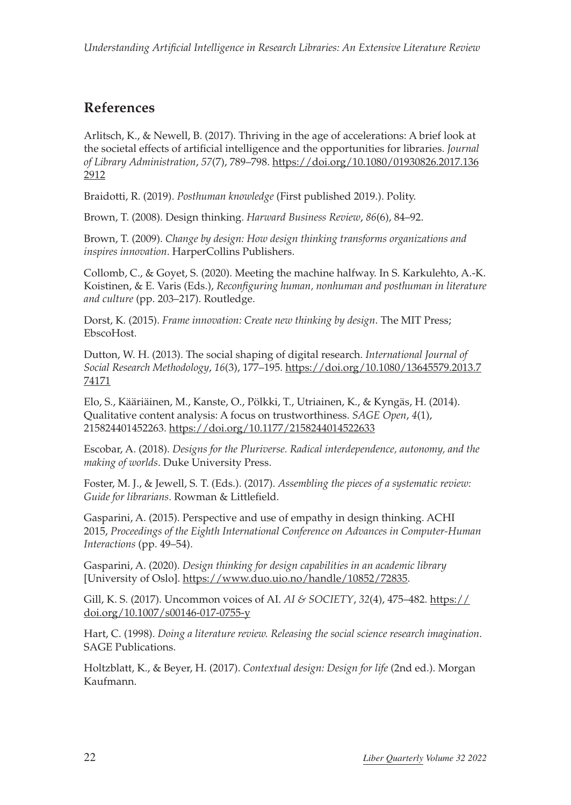### **References**

Arlitsch, K., & Newell, B. (2017). Thriving in the age of accelerations: A brief look at the societal effects of artificial intelligence and the opportunities for libraries. *Journal of Library Administration*, *57*(7), 789–798. [https://doi.org/10.1080/01930826.2017.136](https://doi.org/10.1080/01930826.2017.1362912) [2912](https://doi.org/10.1080/01930826.2017.1362912)

Braidotti, R. (2019). *Posthuman knowledge* (First published 2019.). Polity.

Brown, T. (2008). Design thinking. *Harward Business Review*, *86*(6), 84–92.

Brown, T. (2009). *Change by design: How design thinking transforms organizations and inspires innovation*. HarperCollins Publishers.

Collomb, C., & Goyet, S. (2020). Meeting the machine halfway. In S. Karkulehto, A.-K. Koistinen, & E. Varis (Eds.), *Reconfiguring human, nonhuman and posthuman in literature and culture* (pp. 203–217). Routledge.

Dorst, K. (2015). *Frame innovation: Create new thinking by design*. The MIT Press; EbscoHost.

Dutton, W. H. (2013). The social shaping of digital research. *International Journal of Social Research Methodology*, *16*(3), 177–195. [https://doi.org/10.1080/13645579.2013.7](https://doi.org/10.1080/13645579.2013.774171) [74171](https://doi.org/10.1080/13645579.2013.774171)

Elo, S., Kääriäinen, M., Kanste, O., Pölkki, T., Utriainen, K., & Kyngäs, H. (2014). Qualitative content analysis: A focus on trustworthiness. *SAGE Open*, *4*(1), 215824401452263. <https://doi.org/10.1177/2158244014522633>

Escobar, A. (2018). *Designs for the Pluriverse. Radical interdependence, autonomy, and the making of worlds*. Duke University Press.

Foster, M. J., & Jewell, S. T. (Eds.). (2017). *Assembling the pieces of a systematic review: Guide for librarians*. Rowman & Littlefield.

Gasparini, A. (2015). Perspective and use of empathy in design thinking. ACHI 2015, *Proceedings of the Eighth International Conference on Advances in Computer-Human Interactions* (pp. 49–54).

Gasparini, A. (2020). *Design thinking for design capabilities in an academic library* [University of Oslo].<https://www.duo.uio.no/handle/10852/72835>.

Gill, K. S. (2017). Uncommon voices of AI. *AI & SOCIETY*, *32*(4), 475–482. [https://](https://doi.org/10.1007/s00146-017-0755-y) [doi.org/10.1007/s00146-017-0755-y](https://doi.org/10.1007/s00146-017-0755-y)

Hart, C. (1998). *Doing a literature review. Releasing the social science research imagination*. SAGE Publications.

Holtzblatt, K., & Beyer, H. (2017). *Contextual design: Design for life* (2nd ed.). Morgan Kaufmann.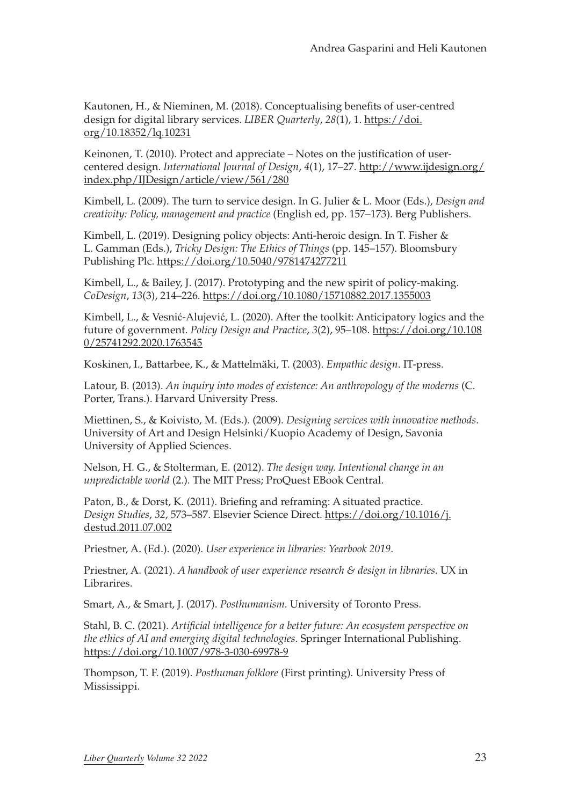Kautonen, H., & Nieminen, M. (2018). Conceptualising benefits of user-centred design for digital library services. *LIBER Quarterly*, *28*(1), 1. [https://doi.](https://doi.org/10.18352/lq.10231) [org/10.18352/lq.10231](https://doi.org/10.18352/lq.10231)

Keinonen, T. (2010). Protect and appreciate – Notes on the justification of usercentered design. *International Journal of Design*, *4*(1), 17–27. [http://www.ijdesign.org/](http://www.ijdesign.org/index.php/IJDesign/article/view/561/280) [index.php/IJDesign/article/view/561/280](http://www.ijdesign.org/index.php/IJDesign/article/view/561/280)

Kimbell, L. (2009). The turn to service design. In G. Julier & L. Moor (Eds.), *Design and creativity: Policy, management and practice* (English ed, pp. 157–173). Berg Publishers.

Kimbell, L. (2019). Designing policy objects: Anti-heroic design. In T. Fisher & L. Gamman (Eds.), *Tricky Design: The Ethics of Things* (pp. 145–157). Bloomsbury Publishing Plc. <https://doi.org/10.5040/9781474277211>

Kimbell, L., & Bailey, J. (2017). Prototyping and the new spirit of policy-making. *CoDesign*, *13*(3), 214–226.<https://doi.org/10.1080/15710882.2017.1355003>

Kimbell, L., & Vesnić-Alujević, L. (2020). After the toolkit: Anticipatory logics and the future of government. *Policy Design and Practice*, *3*(2), 95–108. [https://doi.org/10.108](https://doi.org/10.1080/25741292.2020.1763545) [0/25741292.2020.1763545](https://doi.org/10.1080/25741292.2020.1763545)

Koskinen, I., Battarbee, K., & Mattelmäki, T. (2003). *Empathic design*. IT-press.

Latour, B. (2013). *An inquiry into modes of existence: An anthropology of the moderns* (C. Porter, Trans.). Harvard University Press.

Miettinen, S., & Koivisto, M. (Eds.). (2009). *Designing services with innovative methods*. University of Art and Design Helsinki/Kuopio Academy of Design, Savonia University of Applied Sciences.

Nelson, H. G., & Stolterman, E. (2012). *The design way. Intentional change in an unpredictable world* (2.). The MIT Press; ProQuest EBook Central.

Paton, B., & Dorst, K. (2011). Briefing and reframing: A situated practice. *Design Studies*, *32*, 573–587. Elsevier Science Direct. [https://doi.org/10.1016/j.](https://doi.org/10.1016/j.destud.2011.07.002) [destud.2011.07.002](https://doi.org/10.1016/j.destud.2011.07.002)

Priestner, A. (Ed.). (2020). *User experience in libraries: Yearbook 2019*.

Priestner, A. (2021). *A handbook of user experience research & design in libraries*. UX in Librarires.

Smart, A., & Smart, J. (2017). *Posthumanism*. University of Toronto Press.

Stahl, B. C. (2021). *Artificial intelligence for a better future: An ecosystem perspective on the ethics of AI and emerging digital technologies*. Springer International Publishing. <https://doi.org/10.1007/978-3-030-69978-9>

Thompson, T. F. (2019). *Posthuman folklore* (First printing). University Press of Mississippi.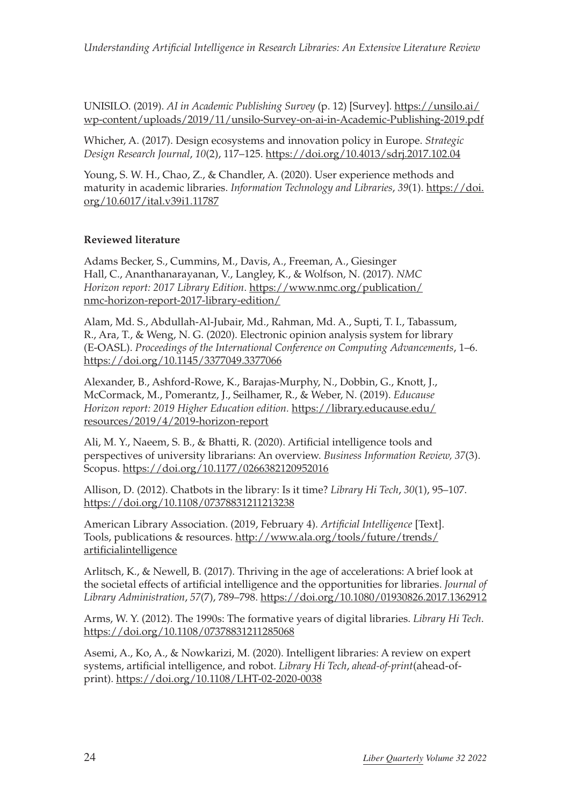UNISILO. (2019). *AI in Academic Publishing Survey* (p. 12) [Survey]. [https://unsilo.ai/](https://unsilo.ai/wp-content/uploads/2019/11/unsilo-Survey-on-ai-in-Academic-Publishing-2019.pdf) [wp-content/uploads/2019/11/unsilo-Survey-on-ai-in-Academic-Publishing-2019.pdf](https://unsilo.ai/wp-content/uploads/2019/11/unsilo-Survey-on-ai-in-Academic-Publishing-2019.pdf)

Whicher, A. (2017). Design ecosystems and innovation policy in Europe. *Strategic Design Research Journal*, *10*(2), 117–125.<https://doi.org/10.4013/sdrj.2017.102.04>

Young, S. W. H., Chao, Z., & Chandler, A. (2020). User experience methods and maturity in academic libraries. *Information Technology and Libraries*, *39*(1). [https://doi.](https://doi.org/10.6017/ital.v39i1.11787) [org/10.6017/ital.v39i1.11787](https://doi.org/10.6017/ital.v39i1.11787)

#### **Reviewed literature**

Adams Becker, S., Cummins, M., Davis, A., Freeman, A., Giesinger Hall, C., Ananthanarayanan, V., Langley, K., & Wolfson, N. (2017). *NMC Horizon report: 2017 Library Edition*. [https://www.nmc.org/publication/](https://www.nmc.org/publication/nmc-horizon-report-2017-library-edition/) [nmc-horizon-report-2017-library-edition/](https://www.nmc.org/publication/nmc-horizon-report-2017-library-edition/)

Alam, Md. S., Abdullah-Al-Jubair, Md., Rahman, Md. A., Supti, T. I., Tabassum, R., Ara, T., & Weng, N. G. (2020). Electronic opinion analysis system for library (E-OASL). *Proceedings of the International Conference on Computing Advancements*, 1–6. <https://doi.org/10.1145/3377049.3377066>

Alexander, B., Ashford-Rowe, K., Barajas-Murphy, N., Dobbin, G., Knott, J., McCormack, M., Pomerantz, J., Seilhamer, R., & Weber, N. (2019). *Educause Horizon report: 2019 Higher Education edition.* [https://library.educause.edu/](https://library.educause.edu/resources/2019/4/2019-horizon-report) [resources/2019/4/2019-horizon-report](https://library.educause.edu/resources/2019/4/2019-horizon-report)

Ali, M. Y., Naeem, S. B., & Bhatti, R. (2020). Artificial intelligence tools and perspectives of university librarians: An overview. *Business Information Review, 37*(3). Scopus. <https://doi.org/10.1177/0266382120952016>

Allison, D. (2012). Chatbots in the library: Is it time? *Library Hi Tech*, *30*(1), 95–107. <https://doi.org/10.1108/07378831211213238>

American Library Association. (2019, February 4). *Artificial Intelligence* [Text]. Tools, publications & resources. [http://www.ala.org/tools/future/trends/](http://www.ala.org/tools/future/trends/artificialintelligence) [artificialintelligence](http://www.ala.org/tools/future/trends/artificialintelligence)

Arlitsch, K., & Newell, B. (2017). Thriving in the age of accelerations: A brief look at the societal effects of artificial intelligence and the opportunities for libraries. *Journal of Library Administration*, *57*(7), 789–798.<https://doi.org/10.1080/01930826.2017.1362912>

Arms, W. Y. (2012). The 1990s: The formative years of digital libraries. *Library Hi Tech*. <https://doi.org/10.1108/07378831211285068>

Asemi, A., Ko, A., & Nowkarizi, M. (2020). Intelligent libraries: A review on expert systems, artificial intelligence, and robot. *Library Hi Tech*, *ahead-of-print*(ahead-ofprint).<https://doi.org/10.1108/LHT-02-2020-0038>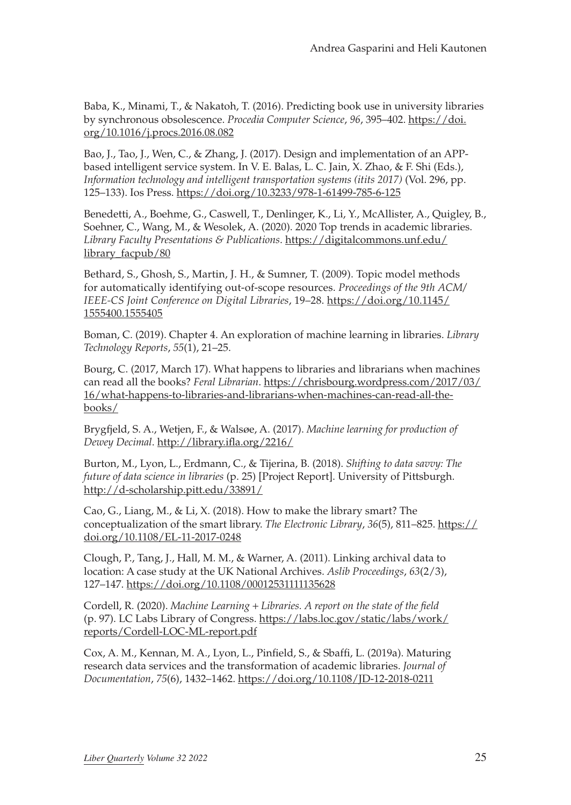Baba, K., Minami, T., & Nakatoh, T. (2016). Predicting book use in university libraries by synchronous obsolescence. *Procedia Computer Science*, *96*, 395–402. [https://doi.](https://doi.org/10.1016/j.procs.2016.08.082) [org/10.1016/j.procs.2016.08.082](https://doi.org/10.1016/j.procs.2016.08.082)

Bao, J., Tao, J., Wen, C., & Zhang, J. (2017). Design and implementation of an APPbased intelligent service system. In V. E. Balas, L. C. Jain, X. Zhao, & F. Shi (Eds.), *Information technology and intelligent transportation systems (itits 2017)* (Vol. 296, pp. 125–133). Ios Press.<https://doi.org/10.3233/978-1-61499-785-6-125>

Benedetti, A., Boehme, G., Caswell, T., Denlinger, K., Li, Y., McAllister, A., Quigley, B., Soehner, C., Wang, M., & Wesolek, A. (2020). 2020 Top trends in academic libraries. *Library Faculty Presentations & Publications*. [https://digitalcommons.unf.edu/](https://digitalcommons.unf.edu/library_facpub/80) [library\\_facpub/80](https://digitalcommons.unf.edu/library_facpub/80)

Bethard, S., Ghosh, S., Martin, J. H., & Sumner, T. (2009). Topic model methods for automatically identifying out-of-scope resources. *Proceedings of the 9th ACM/ IEEE-CS Joint Conference on Digital Libraries*, 19–28. [https://doi.org/10.1145/](https://doi.org/10.1145/1555400.1555405) [1555400.1555405](https://doi.org/10.1145/1555400.1555405)

Boman, C. (2019). Chapter 4. An exploration of machine learning in libraries. *Library Technology Reports*, *55*(1), 21–25.

Bourg, C. (2017, March 17). What happens to libraries and librarians when machines can read all the books? *Feral Librarian*. [https://chrisbourg.wordpress.com/2017/03/](https://chrisbourg.wordpress.com/2017/03/16/what-happens-to-libraries-and-librarians-when-machines-can-read-all-the-books/) [16/what-happens-to-libraries-and-librarians-when-machines-can-read-all-the](https://chrisbourg.wordpress.com/2017/03/16/what-happens-to-libraries-and-librarians-when-machines-can-read-all-the-books/)[books/](https://chrisbourg.wordpress.com/2017/03/16/what-happens-to-libraries-and-librarians-when-machines-can-read-all-the-books/)

Brygfjeld, S. A., Wetjen, F., & Walsøe, A. (2017). *Machine learning for production of Dewey Decimal*. <http://library.ifla.org/2216/>

Burton, M., Lyon, L., Erdmann, C., & Tijerina, B. (2018). *Shifting to data savvy: The future of data science in libraries* (p. 25) [Project Report]. University of Pittsburgh. <http://d-scholarship.pitt.edu/33891/>

Cao, G., Liang, M., & Li, X. (2018). How to make the library smart? The conceptualization of the smart library. *The Electronic Library*, *36*(5), 811–825. [https://](https://doi.org/10.1108/EL-11-2017-0248) [doi.org/10.1108/EL-11-2017-0248](https://doi.org/10.1108/EL-11-2017-0248)

Clough, P., Tang, J., Hall, M. M., & Warner, A. (2011). Linking archival data to location: A case study at the UK National Archives. *Aslib Proceedings*, *63*(2/3), 127–147. <https://doi.org/10.1108/00012531111135628>

Cordell, R. (2020). *Machine Learning* + *Libraries. A report on the state of the field* (p. 97). LC Labs Library of Congress. [https://labs.loc.gov/static/labs/work/](https://labs.loc.gov/static/labs/work/reports/Cordell-LOC-ML-report.pdf) [reports/Cordell-LOC-ML-report.pdf](https://labs.loc.gov/static/labs/work/reports/Cordell-LOC-ML-report.pdf)

Cox, A. M., Kennan, M. A., Lyon, L., Pinfield, S., & Sbaffi, L. (2019a). Maturing research data services and the transformation of academic libraries. *Journal of Documentation*, *75*(6), 1432–1462.<https://doi.org/10.1108/JD-12-2018-0211>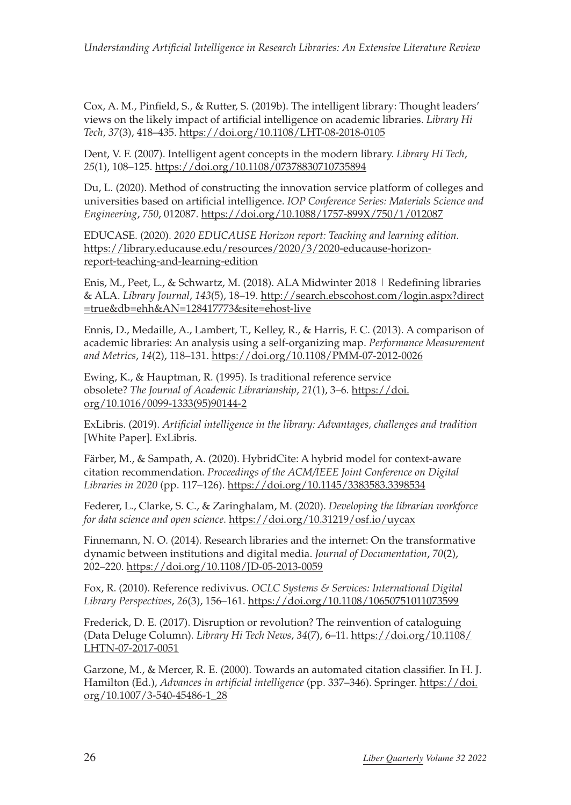Cox, A. M., Pinfield, S., & Rutter, S. (2019b). The intelligent library: Thought leaders' views on the likely impact of artificial intelligence on academic libraries. *Library Hi Tech*, *37*(3), 418–435. <https://doi.org/10.1108/LHT-08-2018-0105>

Dent, V. F. (2007). Intelligent agent concepts in the modern library. *Library Hi Tech*, *25*(1), 108–125. <https://doi.org/10.1108/07378830710735894>

Du, L. (2020). Method of constructing the innovation service platform of colleges and universities based on artificial intelligence. *IOP Conference Series: Materials Science and Engineering*, *750*, 012087. <https://doi.org/10.1088/1757-899X/750/1/012087>

EDUCASE. (2020). *2020 EDUCAUSE Horizon report: Teaching and learning edition.* [https://library.educause.edu/resources/2020/3/2020-educause-horizon](https://library.educause.edu/resources/2020/3/2020-educause-horizon-report-teaching-and-learning-edition)[report-teaching-and-learning-edition](https://library.educause.edu/resources/2020/3/2020-educause-horizon-report-teaching-and-learning-edition)

Enis, M., Peet, L., & Schwartz, M. (2018). ALA Midwinter 2018 | Redefining libraries & ALA. *Library Journal*, *143*(5), 18–19. [http://search.ebscohost.com/login.aspx?direct](http://search.ebscohost.com/login.aspx?direct=true&db=ehh&AN=128417773&site=ehost-live) [=true&db=ehh&AN=128417773&site=ehost-live](http://search.ebscohost.com/login.aspx?direct=true&db=ehh&AN=128417773&site=ehost-live)

Ennis, D., Medaille, A., Lambert, T., Kelley, R., & Harris, F. C. (2013). A comparison of academic libraries: An analysis using a self-organizing map. *Performance Measurement and Metrics*, *14*(2), 118–131. <https://doi.org/10.1108/PMM-07-2012-0026>

Ewing, K., & Hauptman, R. (1995). Is traditional reference service obsolete? *The Journal of Academic Librarianship*, *21*(1), 3–6. [https://doi.](https://doi.org/10.1016/0099-1333(95)90144-2) [org/10.1016/0099-1333\(95\)90144-2](https://doi.org/10.1016/0099-1333(95)90144-2)

ExLibris. (2019). *Artificial intelligence in the library: Advantages, challenges and tradition* [White Paper]. ExLibris.

Färber, M., & Sampath, A. (2020). HybridCite: A hybrid model for context-aware citation recommendation. *Proceedings of the ACM/IEEE Joint Conference on Digital Libraries in 2020* (pp. 117–126).<https://doi.org/10.1145/3383583.3398534>

Federer, L., Clarke, S. C., & Zaringhalam, M. (2020). *Developing the librarian workforce for data science and open science*.<https://doi.org/10.31219/osf.io/uycax>

Finnemann, N. O. (2014). Research libraries and the internet: On the transformative dynamic between institutions and digital media. *Journal of Documentation*, *70*(2), 202–220. <https://doi.org/10.1108/JD-05-2013-0059>

Fox, R. (2010). Reference redivivus. *OCLC Systems & Services: International Digital Library Perspectives*, *26*(3), 156–161.<https://doi.org/10.1108/10650751011073599>

Frederick, D. E. (2017). Disruption or revolution? The reinvention of cataloguing (Data Deluge Column). *Library Hi Tech News*, *34*(7), 6–11. [https://doi.org/10.1108/](https://doi.org/10.1108/LHTN-07-2017-0051) [LHTN-07-2017-0051](https://doi.org/10.1108/LHTN-07-2017-0051)

Garzone, M., & Mercer, R. E. (2000). Towards an automated citation classifier. In H. J. Hamilton (Ed.), *Advances in artificial intelligence* (pp. 337–346). Springer. [https://doi.](https://doi.org/10.1007/3-540-45486-1_28) [org/10.1007/3-540-45486-1\\_28](https://doi.org/10.1007/3-540-45486-1_28)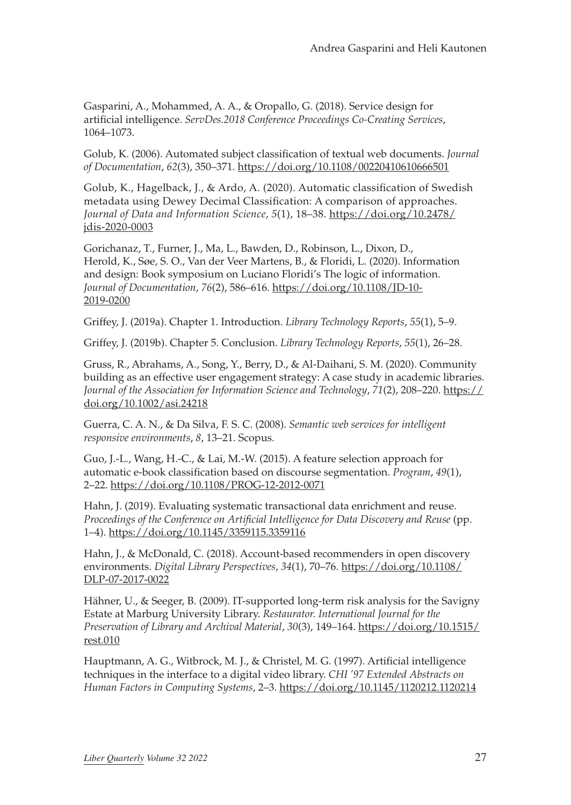Gasparini, A., Mohammed, A. A., & Oropallo, G. (2018). Service design for artificial intelligence. *ServDes.2018 Conference Proceedings Co-Creating Services*, 1064–1073.

Golub, K. (2006). Automated subject classification of textual web documents. *Journal of Documentation*, *62*(3), 350–371. <https://doi.org/10.1108/00220410610666501>

Golub, K., Hagelback, J., & Ardo, A. (2020). Automatic classification of Swedish metadata using Dewey Decimal Classification: A comparison of approaches. *Journal of Data and Information Science*, *5*(1), 18–38. [https://doi.org/10.2478/](https://doi.org/10.2478/jdis-2020-0003) [jdis-2020-0003](https://doi.org/10.2478/jdis-2020-0003)

Gorichanaz, T., Furner, J., Ma, L., Bawden, D., Robinson, L., Dixon, D., Herold, K., Søe, S. O., Van der Veer Martens, B., & Floridi, L. (2020). Information and design: Book symposium on Luciano Floridi's The logic of information. *Journal of Documentation*, *76*(2), 586–616. [https://doi.org/10.1108/JD-10-](https://doi.org/10.1108/JD-10-2019-0200) [2019-0200](https://doi.org/10.1108/JD-10-2019-0200)

Griffey, J. (2019a). Chapter 1. Introduction. *Library Technology Reports*, *55*(1), 5–9.

Griffey, J. (2019b). Chapter 5. Conclusion. *Library Technology Reports*, *55*(1), 26–28.

Gruss, R., Abrahams, A., Song, Y., Berry, D., & Al-Daihani, S. M. (2020). Community building as an effective user engagement strategy: A case study in academic libraries. *Journal of the Association for Information Science and Technology*, *71*(2), 208–220. [https://](https://doi.org/10.1002/asi.24218) [doi.org/10.1002/asi.24218](https://doi.org/10.1002/asi.24218)

Guerra, C. A. N., & Da Silva, F. S. C. (2008). *Semantic web services for intelligent responsive environments*, *8*, 13–21. Scopus.

Guo, J.-L., Wang, H.-C., & Lai, M.-W. (2015). A feature selection approach for automatic e-book classification based on discourse segmentation. *Program*, *49*(1), 2–22.<https://doi.org/10.1108/PROG-12-2012-0071>

Hahn, J. (2019). Evaluating systematic transactional data enrichment and reuse. *Proceedings of the Conference on Artificial Intelligence for Data Discovery and Reuse* (pp. 1–4). <https://doi.org/10.1145/3359115.3359116>

Hahn, J., & McDonald, C. (2018). Account-based recommenders in open discovery environments. *Digital Library Perspectives*, *34*(1), 70–76. [https://doi.org/10.1108/](https://doi.org/10.1108/DLP-07-2017-0022) [DLP-07-2017-0022](https://doi.org/10.1108/DLP-07-2017-0022)

Hähner, U., & Seeger, B. (2009). IT-supported long-term risk analysis for the Savigny Estate at Marburg University Library. *Restaurator. International Journal for the Preservation of Library and Archival Material*, *30*(3), 149–164. [https://doi.org/10.1515/](https://doi.org/10.1515/rest.010) [rest.010](https://doi.org/10.1515/rest.010)

Hauptmann, A. G., Witbrock, M. J., & Christel, M. G. (1997). Artificial intelligence techniques in the interface to a digital video library. *CHI '97 Extended Abstracts on Human Factors in Computing Systems*, 2–3.<https://doi.org/10.1145/1120212.1120214>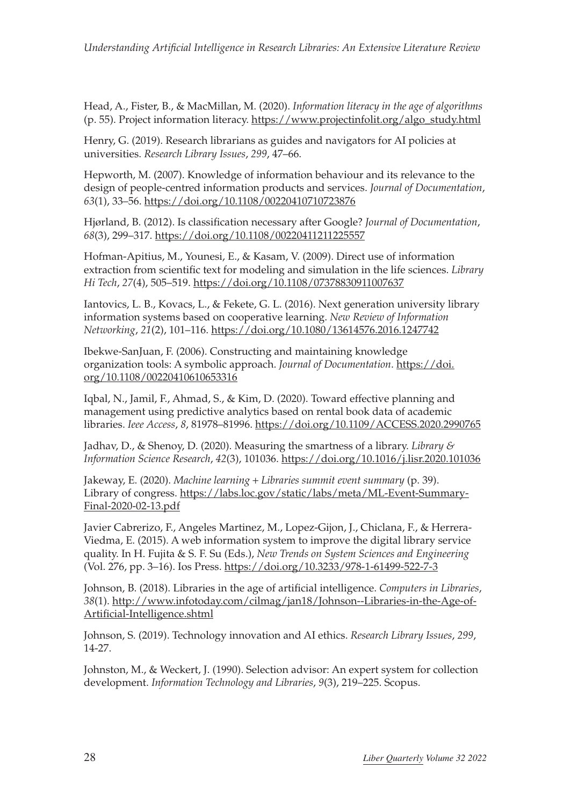Head, A., Fister, B., & MacMillan, M. (2020). *Information literacy in the age of algorithms* (p. 55). Project information literacy. [https://www.projectinfolit.org/algo\\_study.html](https://www.projectinfolit.org/algo_study.html)

Henry, G. (2019). Research librarians as guides and navigators for AI policies at universities. *Research Library Issues*, *299*, 47–66.

Hepworth, M. (2007). Knowledge of information behaviour and its relevance to the design of people-centred information products and services. *Journal of Documentation*, *63*(1), 33–56. <https://doi.org/10.1108/00220410710723876>

Hjørland, B. (2012). Is classification necessary after Google? *Journal of Documentation*, *68*(3), 299–317. <https://doi.org/10.1108/00220411211225557>

Hofman-Apitius, M., Younesi, E., & Kasam, V. (2009). Direct use of information extraction from scientific text for modeling and simulation in the life sciences. *Library Hi Tech*, *27*(4), 505–519.<https://doi.org/10.1108/07378830911007637>

Iantovics, L. B., Kovacs, L., & Fekete, G. L. (2016). Next generation university library information systems based on cooperative learning. *New Review of Information Networking*, *21*(2), 101–116.<https://doi.org/10.1080/13614576.2016.1247742>

Ibekwe-SanJuan, F. (2006). Constructing and maintaining knowledge organization tools: A symbolic approach. *Journal of Documentation*. [https://doi.](https://doi.org/10.1108/00220410610653316) [org/10.1108/00220410610653316](https://doi.org/10.1108/00220410610653316)

Iqbal, N., Jamil, F., Ahmad, S., & Kim, D. (2020). Toward effective planning and management using predictive analytics based on rental book data of academic libraries. *Ieee Access*, *8*, 81978–81996. <https://doi.org/10.1109/ACCESS.2020.2990765>

Jadhav, D., & Shenoy, D. (2020). Measuring the smartness of a library. *Library & Information Science Research*, *42*(3), 101036. <https://doi.org/10.1016/j.lisr.2020.101036>

Jakeway, E. (2020). *Machine learning* + *Libraries summit event summary* (p. 39). Library of congress. [https://labs.loc.gov/static/labs/meta/ML-Event-Summary-](https://labs.loc.gov/static/labs/meta/ML-Event-Summary-Final-2020-02-13.pdf)[Final-2020-02-13.pdf](https://labs.loc.gov/static/labs/meta/ML-Event-Summary-Final-2020-02-13.pdf)

Javier Cabrerizo, F., Angeles Martinez, M., Lopez-Gijon, J., Chiclana, F., & Herrera-Viedma, E. (2015). A web information system to improve the digital library service quality. In H. Fujita & S. F. Su (Eds.), *New Trends on System Sciences and Engineering* (Vol. 276, pp. 3–16). Ios Press.<https://doi.org/10.3233/978-1-61499-522-7-3>

Johnson, B. (2018). Libraries in the age of artificial intelligence. *Computers in Libraries*, *38*(1). [http://www.infotoday.com/cilmag/jan18/Johnson--Libraries-in-the-Age-of-](http://www.infotoday.com/cilmag/jan18/Johnson--Libraries-in-the-Age-of-Artificial-Intelligence.shtml)[Artificial-Intelligence.shtml](http://www.infotoday.com/cilmag/jan18/Johnson--Libraries-in-the-Age-of-Artificial-Intelligence.shtml)

Johnson, S. (2019). Technology innovation and AI ethics. *Research Library Issues*, *299*, 14-27.

Johnston, M., & Weckert, J. (1990). Selection advisor: An expert system for collection development. *Information Technology and Libraries*, *9*(3), 219–225. Scopus.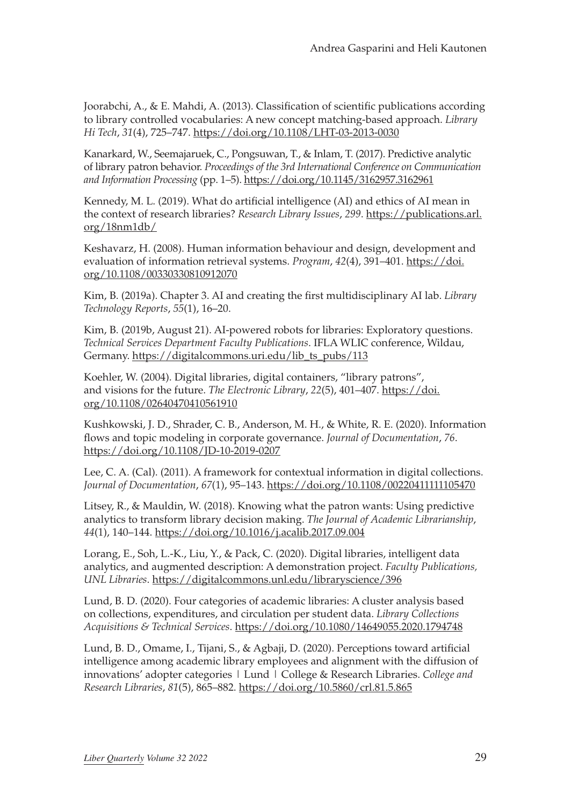Joorabchi, A., & E. Mahdi, A. (2013). Classification of scientific publications according to library controlled vocabularies: A new concept matching-based approach. *Library Hi Tech*, *31*(4), 725–747.<https://doi.org/10.1108/LHT-03-2013-0030>

Kanarkard, W., Seemajaruek, C., Pongsuwan, T., & Inlam, T. (2017). Predictive analytic of library patron behavior. *Proceedings of the 3rd International Conference on Communication and Information Processing* (pp. 1–5).<https://doi.org/10.1145/3162957.3162961>

Kennedy, M. L. (2019). What do artificial intelligence (AI) and ethics of AI mean in the context of research libraries? *Research Library Issues*, *299*. [https://publications.arl.](https://publications.arl.org/18nm1db/) [org/18nm1db/](https://publications.arl.org/18nm1db/)

Keshavarz, H. (2008). Human information behaviour and design, development and evaluation of information retrieval systems. *Program*, *42*(4), 391–401. [https://doi.](https://doi.org/10.1108/00330330810912070) [org/10.1108/00330330810912070](https://doi.org/10.1108/00330330810912070)

Kim, B. (2019a). Chapter 3. AI and creating the first multidisciplinary AI lab. *Library Technology Reports*, *55*(1), 16–20.

Kim, B. (2019b, August 21). AI-powered robots for libraries: Exploratory questions. *Technical Services Department Faculty Publications*. IFLA WLIC conference, Wildau, Germany. [https://digitalcommons.uri.edu/lib\\_ts\\_pubs/113](https://digitalcommons.uri.edu/lib_ts_pubs/113)

Koehler, W. (2004). Digital libraries, digital containers, "library patrons", and visions for the future. *The Electronic Library*, *22*(5), 401–407. [https://doi.](https://doi.org/10.1108/02640470410561910) [org/10.1108/02640470410561910](https://doi.org/10.1108/02640470410561910)

Kushkowski, J. D., Shrader, C. B., Anderson, M. H., & White, R. E. (2020). Information flows and topic modeling in corporate governance. *Journal of Documentation*, *76*. <https://doi.org/10.1108/JD-10-2019-0207>

Lee, C. A. (Cal). (2011). A framework for contextual information in digital collections. *Journal of Documentation*, *67*(1), 95–143. <https://doi.org/10.1108/00220411111105470>

Litsey, R., & Mauldin, W. (2018). Knowing what the patron wants: Using predictive analytics to transform library decision making. *The Journal of Academic Librarianship*, *44*(1), 140–144. <https://doi.org/10.1016/j.acalib.2017.09.004>

Lorang, E., Soh, L.-K., Liu, Y., & Pack, C. (2020). Digital libraries, intelligent data analytics, and augmented description: A demonstration project. *Faculty Publications, UNL Libraries*. <https://digitalcommons.unl.edu/libraryscience/396>

Lund, B. D. (2020). Four categories of academic libraries: A cluster analysis based on collections, expenditures, and circulation per student data. *Library Collections Acquisitions & Technical Services*.<https://doi.org/10.1080/14649055.2020.1794748>

Lund, B. D., Omame, I., Tijani, S., & Agbaji, D. (2020). Perceptions toward artificial intelligence among academic library employees and alignment with the diffusion of innovations' adopter categories | Lund | College & Research Libraries. *College and Research Libraries*, *81*(5), 865–882. <https://doi.org/10.5860/crl.81.5.865>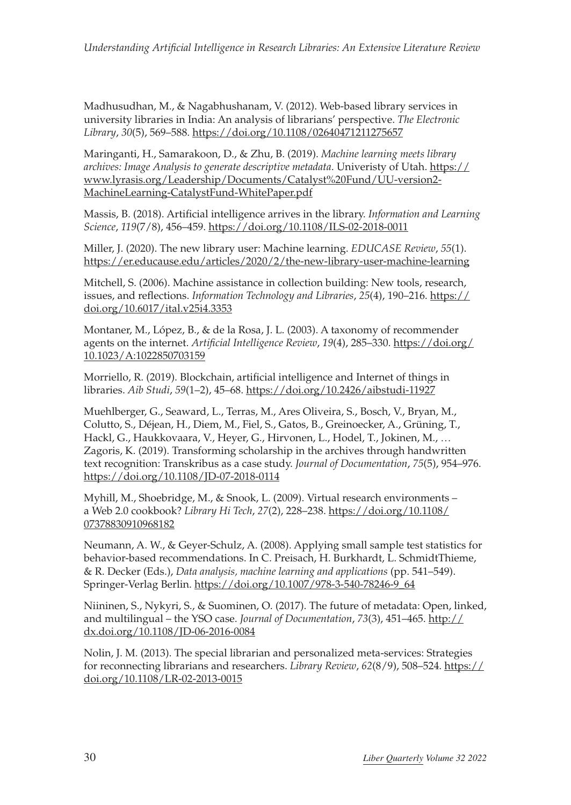Madhusudhan, M., & Nagabhushanam, V. (2012). Web-based library services in university libraries in India: An analysis of librarians' perspective. *The Electronic Library*, *30*(5), 569–588. <https://doi.org/10.1108/02640471211275657>

Maringanti, H., Samarakoon, D., & Zhu, B. (2019). *Machine learning meets library archives: Image Analysis to generate descriptive metadata*. Univeristy of Utah. [https://](https://www.lyrasis.org/Leadership/Documents/Catalyst%20Fund/UU-version2-MachineLearning-CatalystFund-WhitePaper.pdf) [www.lyrasis.org/Leadership/Documents/Catalyst%20Fund/UU-version2-](https://www.lyrasis.org/Leadership/Documents/Catalyst%20Fund/UU-version2-MachineLearning-CatalystFund-WhitePaper.pdf) [MachineLearning-CatalystFund-WhitePaper.pdf](https://www.lyrasis.org/Leadership/Documents/Catalyst%20Fund/UU-version2-MachineLearning-CatalystFund-WhitePaper.pdf)

Massis, B. (2018). Artificial intelligence arrives in the library. *Information and Learning Science*, *119*(7/8), 456–459.<https://doi.org/10.1108/ILS-02-2018-0011>

Miller, J. (2020). The new library user: Machine learning. *EDUCASE Review*, *55*(1). <https://er.educause.edu/articles/2020/2/the-new-library-user-machine-learning>

Mitchell, S. (2006). Machine assistance in collection building: New tools, research, issues, and reflections. *Information Technology and Libraries*, *25*(4), 190–216. [https://](https://doi.org/10.6017/ital.v25i4.3353) [doi.org/10.6017/ital.v25i4.3353](https://doi.org/10.6017/ital.v25i4.3353)

Montaner, M., López, B., & de la Rosa, J. L. (2003). A taxonomy of recommender agents on the internet. *Artificial Intelligence Review*, *19*(4), 285–330. [https://doi.org/](https://doi.org/10.1023/A:1022850703159) [10.1023/A:1022850703159](https://doi.org/10.1023/A:1022850703159)

Morriello, R. (2019). Blockchain, artificial intelligence and Internet of things in libraries. *Aib Studi*, *59*(1–2), 45–68. <https://doi.org/10.2426/aibstudi-11927>

Muehlberger, G., Seaward, L., Terras, M., Ares Oliveira, S., Bosch, V., Bryan, M., Colutto, S., Déjean, H., Diem, M., Fiel, S., Gatos, B., Greinoecker, A., Grüning, T., Hackl, G., Haukkovaara, V., Heyer, G., Hirvonen, L., Hodel, T., Jokinen, M., … Zagoris, K. (2019). Transforming scholarship in the archives through handwritten text recognition: Transkribus as a case study. *Journal of Documentation*, *75*(5), 954–976. <https://doi.org/10.1108/JD-07-2018-0114>

Myhill, M., Shoebridge, M., & Snook, L. (2009). Virtual research environments – a Web 2.0 cookbook? *Library Hi Tech*, *27*(2), 228–238. [https://doi.org/10.1108/](https://doi.org/10.1108/07378830910968182) [07378830910968182](https://doi.org/10.1108/07378830910968182)

Neumann, A. W., & Geyer-Schulz, A. (2008). Applying small sample test statistics for behavior-based recommendations. In C. Preisach, H. Burkhardt, L. SchmidtThieme, & R. Decker (Eds.), *Data analysis, machine learning and applications* (pp. 541–549). Springer-Verlag Berlin. [https://doi.org/10.1007/978-3-540-78246-9\\_64](https://doi.org/10.1007/978-3-540-78246-9_64)

Niininen, S., Nykyri, S., & Suominen, O. (2017). The future of metadata: Open, linked, and multilingual – the YSO case. *Journal of Documentation*, *73*(3), 451–465. [http://](http://dx.doi.org/10.1108/JD-06-2016-0084) [dx.doi.org/10.1108/JD-06-2016-0084](http://dx.doi.org/10.1108/JD-06-2016-0084)

Nolin, J. M. (2013). The special librarian and personalized meta-services: Strategies for reconnecting librarians and researchers. *Library Review*, *62*(8/9), 508–524. [https://](https://doi.org/10.1108/LR-02-2013-0015) [doi.org/10.1108/LR-02-2013-0015](https://doi.org/10.1108/LR-02-2013-0015)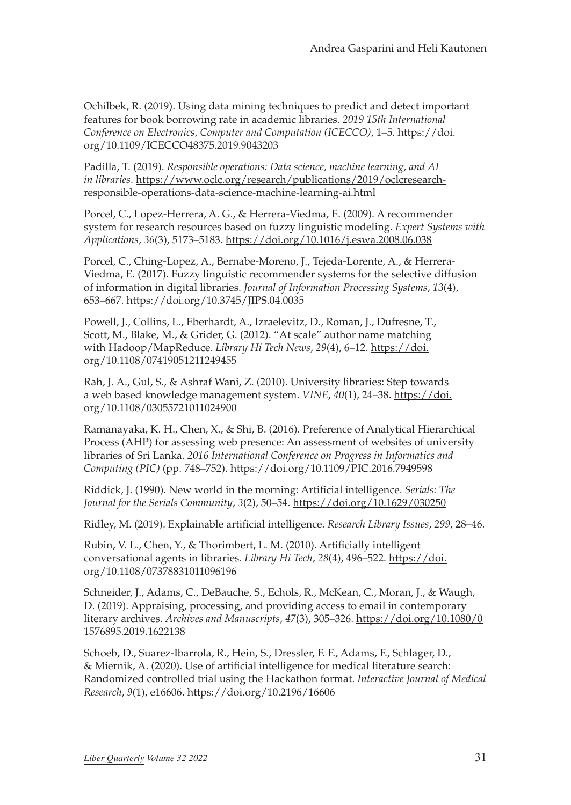Ochilbek, R. (2019). Using data mining techniques to predict and detect important features for book borrowing rate in academic libraries. *2019 15th International Conference on Electronics, Computer and Computation (ICECCO)*, 1–5. [https://doi.](https://doi.org/10.1109/ICECCO48375.2019.9043203) [org/10.1109/ICECCO48375.2019.9043203](https://doi.org/10.1109/ICECCO48375.2019.9043203)

Padilla, T. (2019). *Responsible operations: Data science, machine learning, and AI in libraries*. [https://www.oclc.org/research/publications/2019/oclcresearch](https://www.oclc.org/research/publications/2019/oclcresearch-responsible-operations-data-science-machine-learning-ai.html)[responsible-operations-data-science-machine-learning-ai.html](https://www.oclc.org/research/publications/2019/oclcresearch-responsible-operations-data-science-machine-learning-ai.html)

Porcel, C., Lopez-Herrera, A. G., & Herrera-Viedma, E. (2009). A recommender system for research resources based on fuzzy linguistic modeling. *Expert Systems with Applications*, *36*(3), 5173–5183. <https://doi.org/10.1016/j.eswa.2008.06.038>

Porcel, C., Ching-Lopez, A., Bernabe-Moreno, J., Tejeda-Lorente, A., & Herrera-Viedma, E. (2017). Fuzzy linguistic recommender systems for the selective diffusion of information in digital libraries. *Journal of Information Processing Systems*, *13*(4), 653–667. <https://doi.org/10.3745/JIPS.04.0035>

Powell, J., Collins, L., Eberhardt, A., Izraelevitz, D., Roman, J., Dufresne, T., Scott, M., Blake, M., & Grider, G. (2012). "At scale" author name matching with Hadoop/MapReduce. *Library Hi Tech News*, *29*(4), 6–12. [https://doi.](https://doi.org/10.1108/07419051211249455) [org/10.1108/07419051211249455](https://doi.org/10.1108/07419051211249455)

Rah, J. A., Gul, S., & Ashraf Wani, Z. (2010). University libraries: Step towards a web based knowledge management system. *VINE*, *40*(1), 24–38. [https://doi.](https://doi.org/10.1108/03055721011024900) [org/10.1108/03055721011024900](https://doi.org/10.1108/03055721011024900)

Ramanayaka, K. H., Chen, X., & Shi, B. (2016). Preference of Analytical Hierarchical Process (AHP) for assessing web presence: An assessment of websites of university libraries of Sri Lanka. *2016 International Conference on Progress in Informatics and Computing (PIC)* (pp. 748–752). <https://doi.org/10.1109/PIC.2016.7949598>

Riddick, J. (1990). New world in the morning: Artificial intelligence. *Serials: The Journal for the Serials Community*, *3*(2), 50–54.<https://doi.org/10.1629/030250>

Ridley, M. (2019). Explainable artificial intelligence. *Research Library Issues*, *299*, 28–46.

Rubin, V. L., Chen, Y., & Thorimbert, L. M. (2010). Artificially intelligent conversational agents in libraries. *Library Hi Tech*, *28*(4), 496–522. [https://doi.](https://doi.org/10.1108/07378831011096196) [org/10.1108/07378831011096196](https://doi.org/10.1108/07378831011096196)

Schneider, J., Adams, C., DeBauche, S., Echols, R., McKean, C., Moran, J., & Waugh, D. (2019). Appraising, processing, and providing access to email in contemporary literary archives. *Archives and Manuscripts*, *47*(3), 305–326. [https://doi.org/10.1080/0](https://doi.org/10.1080/01576895.2019.1622138) [1576895.2019.1622138](https://doi.org/10.1080/01576895.2019.1622138)

Schoeb, D., Suarez-Ibarrola, R., Hein, S., Dressler, F. F., Adams, F., Schlager, D., & Miernik, A. (2020). Use of artificial intelligence for medical literature search: Randomized controlled trial using the Hackathon format. *Interactive Journal of Medical Research*, *9*(1), e16606.<https://doi.org/10.2196/16606>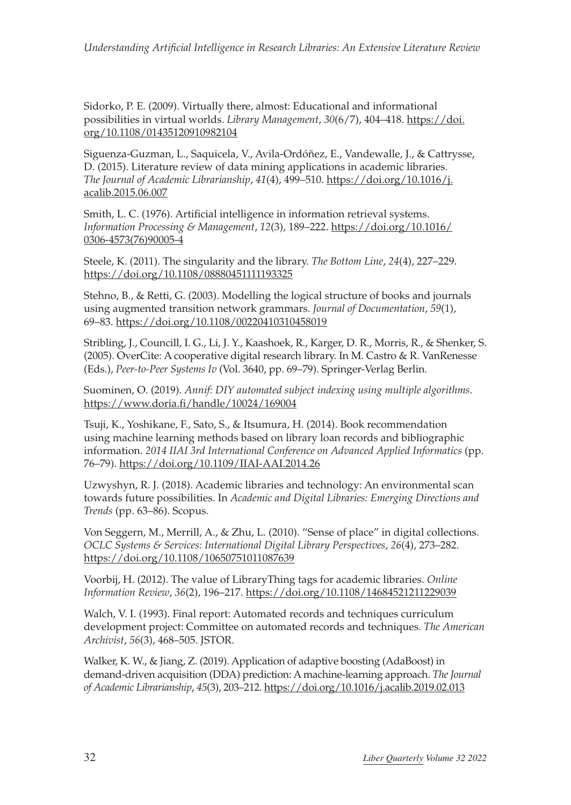Sidorko, P. E. (2009). Virtually there, almost: Educational and informational possibilities in virtual worlds. *Library Management*, *30*(6/7), 404–418. [https://doi.](https://doi.org/10.1108/01435120910982104) [org/10.1108/01435120910982104](https://doi.org/10.1108/01435120910982104)

Siguenza-Guzman, L., Saquicela, V., Avila-Ordóñez, E., Vandewalle, J., & Cattrysse, D. (2015). Literature review of data mining applications in academic libraries. *The Journal of Academic Librarianship*, *41*(4), 499–510. [https://doi.org/10.1016/j.](https://doi.org/10.1016/j.acalib.2015.06.007) [acalib.2015.06.007](https://doi.org/10.1016/j.acalib.2015.06.007)

Smith, L. C. (1976). Artificial intelligence in information retrieval systems. *Information Processing & Management*, *12*(3), 189–222. [https://doi.org/10.1016/](https://doi.org/10.1016/0306-4573(76)90005-4) [0306-4573\(76\)90005-4](https://doi.org/10.1016/0306-4573(76)90005-4)

Steele, K. (2011). The singularity and the library. *The Bottom Line*, *24*(4), 227–229. <https://doi.org/10.1108/08880451111193325>

Stehno, B., & Retti, G. (2003). Modelling the logical structure of books and journals using augmented transition network grammars. *Journal of Documentation*, *59*(1), 69–83. <https://doi.org/10.1108/00220410310458019>

Stribling, J., Councill, I. G., Li, J. Y., Kaashoek, R., Karger, D. R., Morris, R., & Shenker, S. (2005). OverCite: A cooperative digital research library. In M. Castro & R. VanRenesse (Eds.), *Peer-to-Peer Systems Iv* (Vol. 3640, pp. 69–79). Springer-Verlag Berlin.

Suominen, O. (2019). *Annif: DIY automated subject indexing using multiple algorithms*. <https://www.doria.fi/handle/10024/169004>

Tsuji, K., Yoshikane, F., Sato, S., & Itsumura, H. (2014). Book recommendation using machine learning methods based on library loan records and bibliographic information. *2014 IIAI 3rd International Conference on Advanced Applied Informatics* (pp. 76–79). <https://doi.org/10.1109/IIAI-AAI.2014.26>

Uzwyshyn, R. J. (2018). Academic libraries and technology: An environmental scan towards future possibilities. In *Academic and Digital Libraries: Emerging Directions and Trends* (pp. 63–86). Scopus.

Von Seggern, M., Merrill, A., & Zhu, L. (2010). "Sense of place" in digital collections. *OCLC Systems & Services: International Digital Library Perspectives*, *26*(4), 273–282. <https://doi.org/10.1108/10650751011087639>

Voorbij, H. (2012). The value of LibraryThing tags for academic libraries. *Online Information Review*, *36*(2), 196–217. <https://doi.org/10.1108/14684521211229039>

Walch, V. I. (1993). Final report: Automated records and techniques curriculum development project: Committee on automated records and techniques. *The American Archivist*, *56*(3), 468–505. JSTOR.

Walker, K. W., & Jiang, Z. (2019). Application of adaptive boosting (AdaBoost) in demand-driven acquisition (DDA) prediction: A machine-learning approach. *The Journal of Academic Librarianship*, *45*(3), 203–212.<https://doi.org/10.1016/j.acalib.2019.02.013>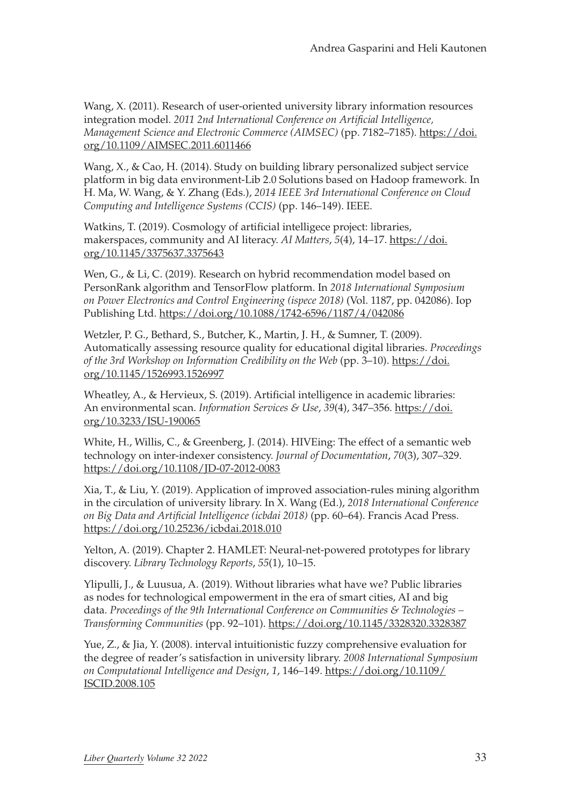Wang, X. (2011). Research of user-oriented university library information resources integration model. *2011 2nd International Conference on Artificial Intelligence, Management Science and Electronic Commerce (AIMSEC)* (pp. 7182–7185). [https://doi.](https://doi.org/10.1109/AIMSEC.2011.6011466) [org/10.1109/AIMSEC.2011.6011466](https://doi.org/10.1109/AIMSEC.2011.6011466)

Wang, X., & Cao, H. (2014). Study on building library personalized subject service platform in big data environment-Lib 2.0 Solutions based on Hadoop framework. In H. Ma, W. Wang, & Y. Zhang (Eds.), *2014 IEEE 3rd International Conference on Cloud Computing and Intelligence Systems (CCIS)* (pp. 146–149). IEEE.

Watkins, T. (2019). Cosmology of artificial intelligece project: libraries, makerspaces, community and AI literacy. *AI Matters*, *5*(4), 14–17. [https://doi.](https://doi.org/10.1145/3375637.3375643) [org/10.1145/3375637.3375643](https://doi.org/10.1145/3375637.3375643)

Wen, G., & Li, C. (2019). Research on hybrid recommendation model based on PersonRank algorithm and TensorFlow platform. In *2018 International Symposium on Power Electronics and Control Engineering (ispece 2018)* (Vol. 1187, pp. 042086). Iop Publishing Ltd. <https://doi.org/10.1088/1742-6596/1187/4/042086>

Wetzler, P. G., Bethard, S., Butcher, K., Martin, J. H., & Sumner, T. (2009). Automatically assessing resource quality for educational digital libraries. *Proceedings of the 3rd Workshop on Information Credibility on the Web* (pp. 3–10). [https://doi.](https://doi.org/10.1145/1526993.1526997) [org/10.1145/1526993.1526997](https://doi.org/10.1145/1526993.1526997)

Wheatley, A., & Hervieux, S. (2019). Artificial intelligence in academic libraries: An environmental scan. *Information Services & Use*, *39*(4), 347–356. [https://doi.](https://doi.org/10.3233/ISU-190065) [org/10.3233/ISU-190065](https://doi.org/10.3233/ISU-190065)

White, H., Willis, C., & Greenberg, J. (2014). HIVEing: The effect of a semantic web technology on inter-indexer consistency. *Journal of Documentation*, *70*(3), 307–329. <https://doi.org/10.1108/JD-07-2012-0083>

Xia, T., & Liu, Y. (2019). Application of improved association-rules mining algorithm in the circulation of university library. In X. Wang (Ed.), *2018 International Conference on Big Data and Artificial Intelligence (icbdai 2018)* (pp. 60–64). Francis Acad Press. <https://doi.org/10.25236/icbdai.2018.010>

Yelton, A. (2019). Chapter 2. HAMLET: Neural-net-powered prototypes for library discovery. *Library Technology Reports*, *55*(1), 10–15.

Ylipulli, J., & Luusua, A. (2019). Without libraries what have we? Public libraries as nodes for technological empowerment in the era of smart cities, AI and big data. *Proceedings of the 9th International Conference on Communities & Technologies – Transforming Communities* (pp. 92–101). <https://doi.org/10.1145/3328320.3328387>

Yue, Z., & Jia, Y. (2008). interval intuitionistic fuzzy comprehensive evaluation for the degree of reader's satisfaction in university library. *2008 International Symposium on Computational Intelligence and Design*, *1*, 146–149. [https://doi.org/10.1109/](https://doi.org/10.1109/ISCID.2008.105) [ISCID.2008.105](https://doi.org/10.1109/ISCID.2008.105)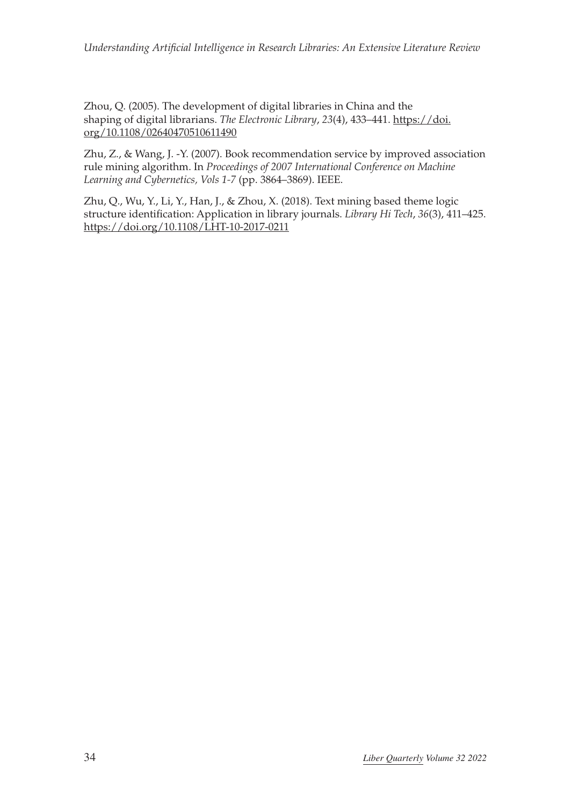Zhou, Q. (2005). The development of digital libraries in China and the shaping of digital librarians. *The Electronic Library*, *23*(4), 433–441. [https://doi.](https://doi.org/10.1108/02640470510611490) [org/10.1108/02640470510611490](https://doi.org/10.1108/02640470510611490)

Zhu, Z., & Wang, J. -Y. (2007). Book recommendation service by improved association rule mining algorithm. In *Proceedings of 2007 International Conference on Machine Learning and Cybernetics, Vols 1-7* (pp. 3864–3869). IEEE.

Zhu, Q., Wu, Y., Li, Y., Han, J., & Zhou, X. (2018). Text mining based theme logic structure identification: Application in library journals. *Library Hi Tech*, *36*(3), 411–425. <https://doi.org/10.1108/LHT-10-2017-0211>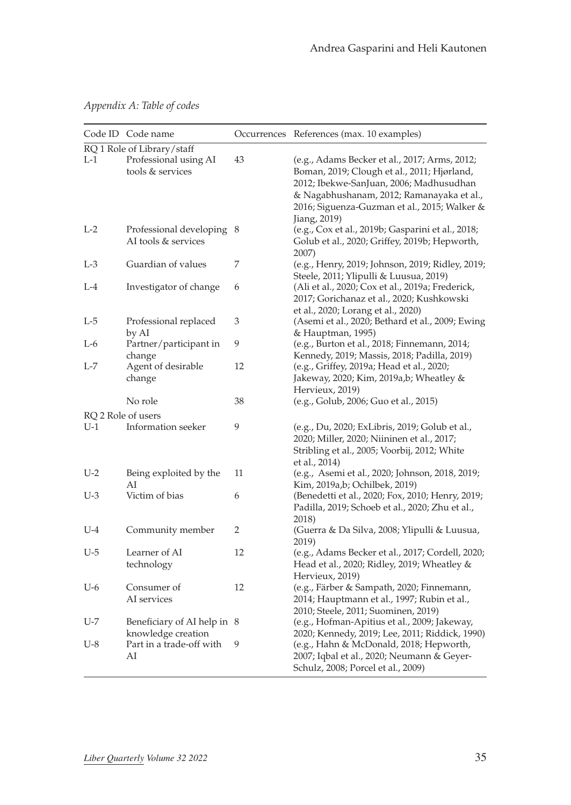*Appendix A: Table of codes*

|                             | Code ID Code name                                 |    | Occurrences References (max. 10 examples)                                                                                                                                                                                                            |
|-----------------------------|---------------------------------------------------|----|------------------------------------------------------------------------------------------------------------------------------------------------------------------------------------------------------------------------------------------------------|
|                             | RQ 1 Role of Library/staff                        |    |                                                                                                                                                                                                                                                      |
| $L-1$                       | Professional using AI<br>tools & services         | 43 | (e.g., Adams Becker et al., 2017; Arms, 2012;<br>Boman, 2019; Clough et al., 2011; Hjørland,<br>2012; Ibekwe-SanJuan, 2006; Madhusudhan<br>& Nagabhushanam, 2012; Ramanayaka et al.,<br>2016; Siguenza-Guzman et al., 2015; Walker &<br>Jiang, 2019) |
| $L-2$                       | Professional developing 8<br>AI tools & services  |    | (e.g., Cox et al., 2019b; Gasparini et al., 2018;<br>Golub et al., 2020; Griffey, 2019b; Hepworth,<br>2007)                                                                                                                                          |
| $L-3$                       | Guardian of values                                | 7  | (e.g., Henry, 2019; Johnson, 2019; Ridley, 2019;<br>Steele, 2011; Ylipulli & Luusua, 2019)                                                                                                                                                           |
| $L-4$                       | Investigator of change                            | 6  | (Ali et al., 2020; Cox et al., 2019a; Frederick,<br>2017; Gorichanaz et al., 2020; Kushkowski<br>et al., 2020; Lorang et al., 2020)                                                                                                                  |
| L-5                         | Professional replaced<br>by AI                    | 3  | (Asemi et al., 2020; Bethard et al., 2009; Ewing<br>& Hauptman, 1995)                                                                                                                                                                                |
| $L-6$                       | Partner/participant in<br>change                  | 9  | (e.g., Burton et al., 2018; Finnemann, 2014;<br>Kennedy, 2019; Massis, 2018; Padilla, 2019)                                                                                                                                                          |
| L-7                         | Agent of desirable<br>change                      | 12 | (e.g., Griffey, 2019a; Head et al., 2020;<br>Jakeway, 2020; Kim, 2019a,b; Wheatley &<br>Hervieux, 2019)                                                                                                                                              |
|                             | No role                                           | 38 | (e.g., Golub, 2006; Guo et al., 2015)                                                                                                                                                                                                                |
| RQ 2 Role of users<br>$U-1$ | Information seeker                                | 9  | (e.g., Du, 2020; ExLibris, 2019; Golub et al.,<br>2020; Miller, 2020; Niininen et al., 2017;<br>Stribling et al., 2005; Voorbij, 2012; White<br>et al., 2014)                                                                                        |
| $U-2$                       | Being exploited by the<br>AI                      | 11 | (e.g., Asemi et al., 2020; Johnson, 2018, 2019;<br>Kim, 2019a,b; Ochilbek, 2019)                                                                                                                                                                     |
| $U-3$                       | Victim of bias                                    | 6  | (Benedetti et al., 2020; Fox, 2010; Henry, 2019;<br>Padilla, 2019; Schoeb et al., 2020; Zhu et al.,<br>2018)                                                                                                                                         |
| $U-4$                       | Community member                                  | 2  | (Guerra & Da Silva, 2008; Ylipulli & Luusua,<br>2019)                                                                                                                                                                                                |
| $U-5$                       | Learner of AI<br>technology                       | 12 | (e.g., Adams Becker et al., 2017; Cordell, 2020;<br>Head et al., 2020; Ridley, 2019; Wheatley &<br>Hervieux, 2019)                                                                                                                                   |
| $U-6$                       | Consumer of<br>AI services                        | 12 | (e.g., Färber & Sampath, 2020; Finnemann,<br>2014; Hauptmann et al., 1997; Rubin et al.,<br>2010; Steele, 2011; Suominen, 2019)                                                                                                                      |
| $U$ -7                      | Beneficiary of AI help in 8<br>knowledge creation |    | (e.g., Hofman-Apitius et al., 2009; Jakeway,<br>2020; Kennedy, 2019; Lee, 2011; Riddick, 1990)                                                                                                                                                       |
| $U-8$                       | Part in a trade-off with<br>AI                    | 9  | (e.g., Hahn & McDonald, 2018; Hepworth,<br>2007; Iqbal et al., 2020; Neumann & Geyer-<br>Schulz, 2008; Porcel et al., 2009)                                                                                                                          |